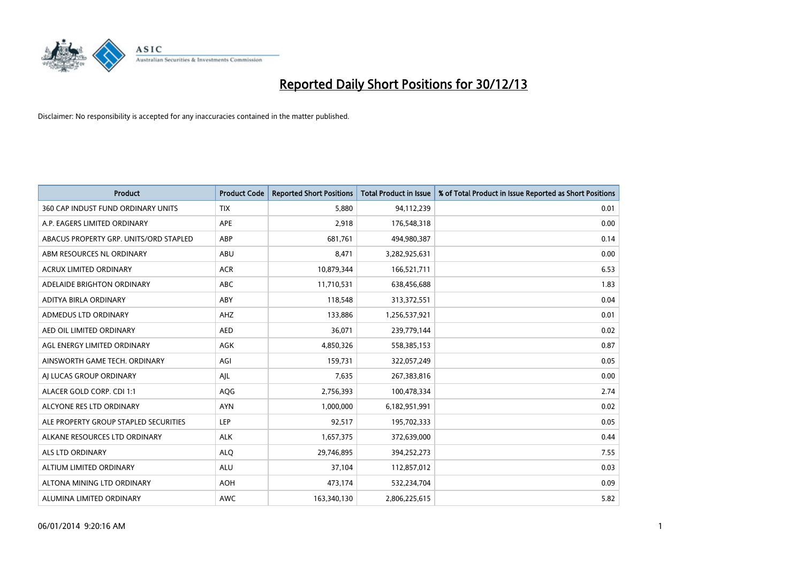

| <b>Product</b>                         | <b>Product Code</b> | <b>Reported Short Positions</b> | Total Product in Issue | % of Total Product in Issue Reported as Short Positions |
|----------------------------------------|---------------------|---------------------------------|------------------------|---------------------------------------------------------|
| 360 CAP INDUST FUND ORDINARY UNITS     | <b>TIX</b>          | 5,880                           | 94,112,239             | 0.01                                                    |
| A.P. EAGERS LIMITED ORDINARY           | <b>APE</b>          | 2,918                           | 176,548,318            | 0.00                                                    |
| ABACUS PROPERTY GRP. UNITS/ORD STAPLED | ABP                 | 681,761                         | 494,980,387            | 0.14                                                    |
| ABM RESOURCES NL ORDINARY              | <b>ABU</b>          | 8,471                           | 3,282,925,631          | 0.00                                                    |
| <b>ACRUX LIMITED ORDINARY</b>          | <b>ACR</b>          | 10,879,344                      | 166,521,711            | 6.53                                                    |
| ADELAIDE BRIGHTON ORDINARY             | <b>ABC</b>          | 11,710,531                      | 638,456,688            | 1.83                                                    |
| ADITYA BIRLA ORDINARY                  | <b>ABY</b>          | 118,548                         | 313,372,551            | 0.04                                                    |
| ADMEDUS LTD ORDINARY                   | <b>AHZ</b>          | 133,886                         | 1,256,537,921          | 0.01                                                    |
| AED OIL LIMITED ORDINARY               | <b>AED</b>          | 36,071                          | 239,779,144            | 0.02                                                    |
| AGL ENERGY LIMITED ORDINARY            | AGK                 | 4,850,326                       | 558,385,153            | 0.87                                                    |
| AINSWORTH GAME TECH. ORDINARY          | AGI                 | 159,731                         | 322,057,249            | 0.05                                                    |
| AI LUCAS GROUP ORDINARY                | AJL                 | 7,635                           | 267,383,816            | 0.00                                                    |
| ALACER GOLD CORP. CDI 1:1              | <b>AQG</b>          | 2,756,393                       | 100,478,334            | 2.74                                                    |
| ALCYONE RES LTD ORDINARY               | <b>AYN</b>          | 1,000,000                       | 6,182,951,991          | 0.02                                                    |
| ALE PROPERTY GROUP STAPLED SECURITIES  | <b>LEP</b>          | 92,517                          | 195,702,333            | 0.05                                                    |
| ALKANE RESOURCES LTD ORDINARY          | <b>ALK</b>          | 1,657,375                       | 372,639,000            | 0.44                                                    |
| ALS LTD ORDINARY                       | <b>ALQ</b>          | 29,746,895                      | 394,252,273            | 7.55                                                    |
| ALTIUM LIMITED ORDINARY                | <b>ALU</b>          | 37.104                          | 112,857,012            | 0.03                                                    |
| ALTONA MINING LTD ORDINARY             | <b>AOH</b>          | 473,174                         | 532,234,704            | 0.09                                                    |
| ALUMINA LIMITED ORDINARY               | <b>AWC</b>          | 163,340,130                     | 2,806,225,615          | 5.82                                                    |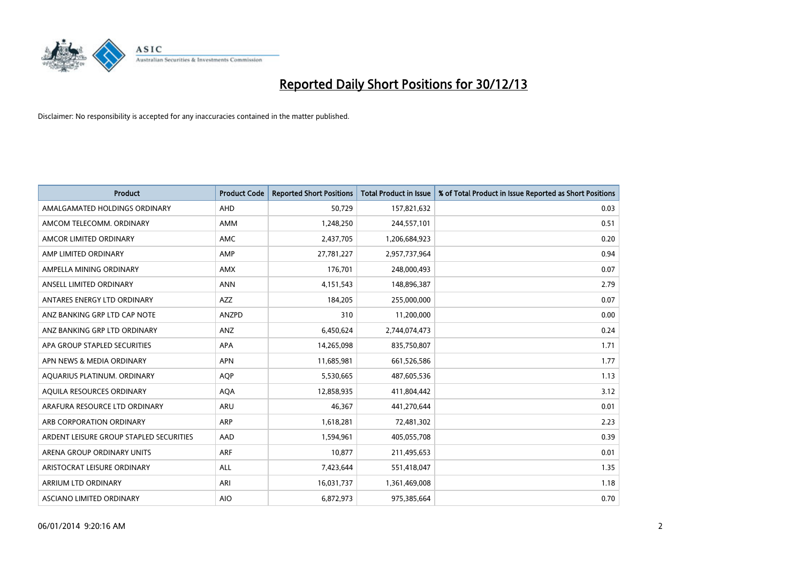

| <b>Product</b>                          | <b>Product Code</b> | <b>Reported Short Positions</b> | <b>Total Product in Issue</b> | % of Total Product in Issue Reported as Short Positions |
|-----------------------------------------|---------------------|---------------------------------|-------------------------------|---------------------------------------------------------|
| AMALGAMATED HOLDINGS ORDINARY           | AHD                 | 50,729                          | 157,821,632                   | 0.03                                                    |
| AMCOM TELECOMM, ORDINARY                | <b>AMM</b>          | 1,248,250                       | 244,557,101                   | 0.51                                                    |
| AMCOR LIMITED ORDINARY                  | <b>AMC</b>          | 2,437,705                       | 1,206,684,923                 | 0.20                                                    |
| AMP LIMITED ORDINARY                    | AMP                 | 27,781,227                      | 2,957,737,964                 | 0.94                                                    |
| AMPELLA MINING ORDINARY                 | <b>AMX</b>          | 176,701                         | 248,000,493                   | 0.07                                                    |
| ANSELL LIMITED ORDINARY                 | <b>ANN</b>          | 4,151,543                       | 148,896,387                   | 2.79                                                    |
| ANTARES ENERGY LTD ORDINARY             | <b>AZZ</b>          | 184,205                         | 255,000,000                   | 0.07                                                    |
| ANZ BANKING GRP LTD CAP NOTE            | <b>ANZPD</b>        | 310                             | 11,200,000                    | 0.00                                                    |
| ANZ BANKING GRP LTD ORDINARY            | ANZ                 | 6,450,624                       | 2,744,074,473                 | 0.24                                                    |
| APA GROUP STAPLED SECURITIES            | APA                 | 14,265,098                      | 835,750,807                   | 1.71                                                    |
| APN NEWS & MEDIA ORDINARY               | <b>APN</b>          | 11,685,981                      | 661,526,586                   | 1.77                                                    |
| AQUARIUS PLATINUM. ORDINARY             | <b>AQP</b>          | 5,530,665                       | 487,605,536                   | 1.13                                                    |
| AQUILA RESOURCES ORDINARY               | <b>AQA</b>          | 12,858,935                      | 411,804,442                   | 3.12                                                    |
| ARAFURA RESOURCE LTD ORDINARY           | <b>ARU</b>          | 46,367                          | 441,270,644                   | 0.01                                                    |
| ARB CORPORATION ORDINARY                | ARP                 | 1,618,281                       | 72,481,302                    | 2.23                                                    |
| ARDENT LEISURE GROUP STAPLED SECURITIES | AAD                 | 1,594,961                       | 405,055,708                   | 0.39                                                    |
| ARENA GROUP ORDINARY UNITS              | <b>ARF</b>          | 10,877                          | 211,495,653                   | 0.01                                                    |
| ARISTOCRAT LEISURE ORDINARY             | <b>ALL</b>          | 7,423,644                       | 551,418,047                   | 1.35                                                    |
| ARRIUM LTD ORDINARY                     | ARI                 | 16,031,737                      | 1,361,469,008                 | 1.18                                                    |
| ASCIANO LIMITED ORDINARY                | <b>AIO</b>          | 6,872,973                       | 975,385,664                   | 0.70                                                    |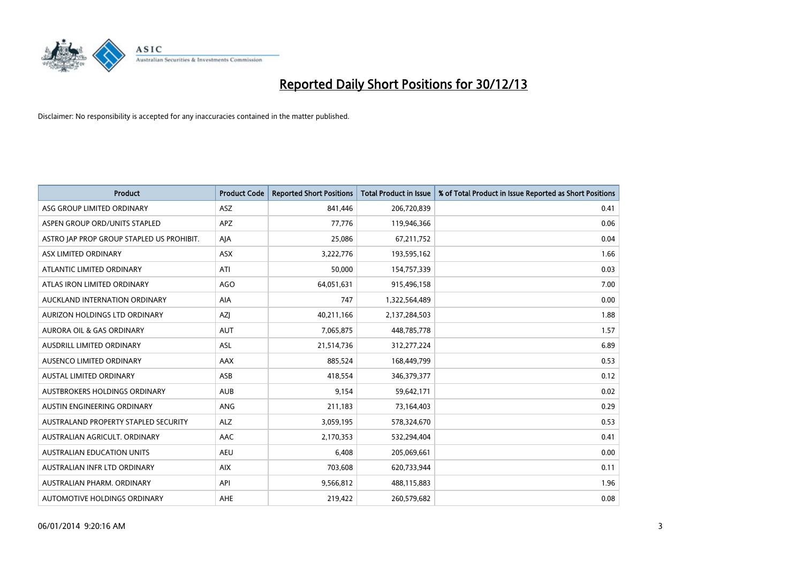

| Product                                   | <b>Product Code</b> | <b>Reported Short Positions</b> | <b>Total Product in Issue</b> | % of Total Product in Issue Reported as Short Positions |
|-------------------------------------------|---------------------|---------------------------------|-------------------------------|---------------------------------------------------------|
| ASG GROUP LIMITED ORDINARY                | <b>ASZ</b>          | 841,446                         | 206,720,839                   | 0.41                                                    |
| ASPEN GROUP ORD/UNITS STAPLED             | <b>APZ</b>          | 77,776                          | 119,946,366                   | 0.06                                                    |
| ASTRO JAP PROP GROUP STAPLED US PROHIBIT. | AJA                 | 25,086                          | 67,211,752                    | 0.04                                                    |
| ASX LIMITED ORDINARY                      | ASX                 | 3,222,776                       | 193,595,162                   | 1.66                                                    |
| ATLANTIC LIMITED ORDINARY                 | ATI                 | 50,000                          | 154,757,339                   | 0.03                                                    |
| ATLAS IRON LIMITED ORDINARY               | <b>AGO</b>          | 64,051,631                      | 915,496,158                   | 7.00                                                    |
| AUCKLAND INTERNATION ORDINARY             | <b>AIA</b>          | 747                             | 1,322,564,489                 | 0.00                                                    |
| AURIZON HOLDINGS LTD ORDINARY             | AZJ                 | 40,211,166                      | 2,137,284,503                 | 1.88                                                    |
| <b>AURORA OIL &amp; GAS ORDINARY</b>      | <b>AUT</b>          | 7,065,875                       | 448,785,778                   | 1.57                                                    |
| AUSDRILL LIMITED ORDINARY                 | ASL                 | 21,514,736                      | 312,277,224                   | 6.89                                                    |
| AUSENCO LIMITED ORDINARY                  | AAX                 | 885,524                         | 168,449,799                   | 0.53                                                    |
| <b>AUSTAL LIMITED ORDINARY</b>            | ASB                 | 418,554                         | 346,379,377                   | 0.12                                                    |
| AUSTBROKERS HOLDINGS ORDINARY             | <b>AUB</b>          | 9,154                           | 59,642,171                    | 0.02                                                    |
| AUSTIN ENGINEERING ORDINARY               | ANG                 | 211,183                         | 73,164,403                    | 0.29                                                    |
| AUSTRALAND PROPERTY STAPLED SECURITY      | <b>ALZ</b>          | 3,059,195                       | 578,324,670                   | 0.53                                                    |
| AUSTRALIAN AGRICULT, ORDINARY             | AAC                 | 2,170,353                       | 532,294,404                   | 0.41                                                    |
| <b>AUSTRALIAN EDUCATION UNITS</b>         | <b>AEU</b>          | 6,408                           | 205,069,661                   | 0.00                                                    |
| AUSTRALIAN INFR LTD ORDINARY              | <b>AIX</b>          | 703,608                         | 620,733,944                   | 0.11                                                    |
| AUSTRALIAN PHARM, ORDINARY                | API                 | 9,566,812                       | 488,115,883                   | 1.96                                                    |
| AUTOMOTIVE HOLDINGS ORDINARY              | <b>AHE</b>          | 219,422                         | 260,579,682                   | 0.08                                                    |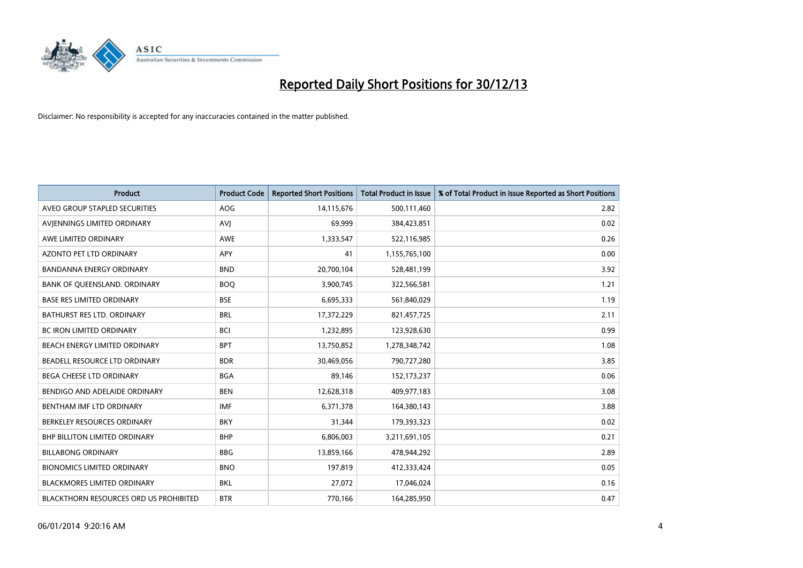

| <b>Product</b>                                | <b>Product Code</b> | <b>Reported Short Positions</b> | <b>Total Product in Issue</b> | % of Total Product in Issue Reported as Short Positions |
|-----------------------------------------------|---------------------|---------------------------------|-------------------------------|---------------------------------------------------------|
| AVEO GROUP STAPLED SECURITIES                 | <b>AOG</b>          | 14,115,676                      | 500,111,460                   | 2.82                                                    |
| AVIENNINGS LIMITED ORDINARY                   | AVJ                 | 69,999                          | 384,423,851                   | 0.02                                                    |
| AWE LIMITED ORDINARY                          | <b>AWE</b>          | 1,333,547                       | 522,116,985                   | 0.26                                                    |
| AZONTO PET LTD ORDINARY                       | <b>APY</b>          | 41                              | 1,155,765,100                 | 0.00                                                    |
| <b>BANDANNA ENERGY ORDINARY</b>               | <b>BND</b>          | 20,700,104                      | 528,481,199                   | 3.92                                                    |
| BANK OF QUEENSLAND. ORDINARY                  | <b>BOO</b>          | 3,900,745                       | 322,566,581                   | 1.21                                                    |
| <b>BASE RES LIMITED ORDINARY</b>              | <b>BSE</b>          | 6,695,333                       | 561,840,029                   | 1.19                                                    |
| BATHURST RES LTD. ORDINARY                    | <b>BRL</b>          | 17,372,229                      | 821,457,725                   | 2.11                                                    |
| <b>BC IRON LIMITED ORDINARY</b>               | <b>BCI</b>          | 1,232,895                       | 123,928,630                   | 0.99                                                    |
| BEACH ENERGY LIMITED ORDINARY                 | <b>BPT</b>          | 13,750,852                      | 1,278,348,742                 | 1.08                                                    |
| BEADELL RESOURCE LTD ORDINARY                 | <b>BDR</b>          | 30,469,056                      | 790,727,280                   | 3.85                                                    |
| <b>BEGA CHEESE LTD ORDINARY</b>               | <b>BGA</b>          | 89.146                          | 152,173,237                   | 0.06                                                    |
| BENDIGO AND ADELAIDE ORDINARY                 | <b>BEN</b>          | 12,628,318                      | 409,977,183                   | 3.08                                                    |
| BENTHAM IMF LTD ORDINARY                      | <b>IMF</b>          | 6,371,378                       | 164,380,143                   | 3.88                                                    |
| BERKELEY RESOURCES ORDINARY                   | <b>BKY</b>          | 31,344                          | 179,393,323                   | 0.02                                                    |
| <b>BHP BILLITON LIMITED ORDINARY</b>          | <b>BHP</b>          | 6,806,003                       | 3,211,691,105                 | 0.21                                                    |
| <b>BILLABONG ORDINARY</b>                     | <b>BBG</b>          | 13,859,166                      | 478,944,292                   | 2.89                                                    |
| <b>BIONOMICS LIMITED ORDINARY</b>             | <b>BNO</b>          | 197,819                         | 412,333,424                   | 0.05                                                    |
| <b>BLACKMORES LIMITED ORDINARY</b>            | <b>BKL</b>          | 27,072                          | 17,046,024                    | 0.16                                                    |
| <b>BLACKTHORN RESOURCES ORD US PROHIBITED</b> | <b>BTR</b>          | 770,166                         | 164,285,950                   | 0.47                                                    |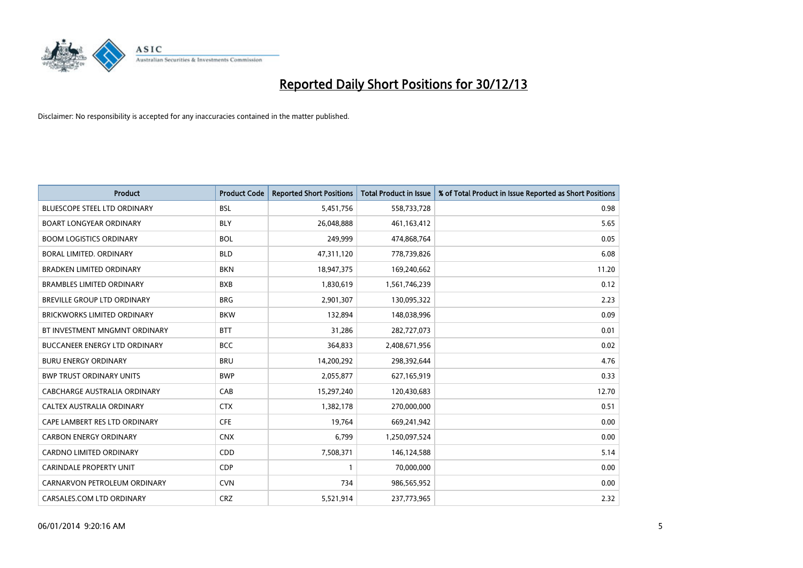

| <b>Product</b>                       | <b>Product Code</b> | <b>Reported Short Positions</b> | Total Product in Issue | % of Total Product in Issue Reported as Short Positions |
|--------------------------------------|---------------------|---------------------------------|------------------------|---------------------------------------------------------|
| <b>BLUESCOPE STEEL LTD ORDINARY</b>  | <b>BSL</b>          | 5,451,756                       | 558,733,728            | 0.98                                                    |
| <b>BOART LONGYEAR ORDINARY</b>       | <b>BLY</b>          | 26,048,888                      | 461,163,412            | 5.65                                                    |
| <b>BOOM LOGISTICS ORDINARY</b>       | <b>BOL</b>          | 249,999                         | 474,868,764            | 0.05                                                    |
| BORAL LIMITED, ORDINARY              | <b>BLD</b>          | 47,311,120                      | 778,739,826            | 6.08                                                    |
| <b>BRADKEN LIMITED ORDINARY</b>      | <b>BKN</b>          | 18,947,375                      | 169,240,662            | 11.20                                                   |
| <b>BRAMBLES LIMITED ORDINARY</b>     | <b>BXB</b>          | 1,830,619                       | 1,561,746,239          | 0.12                                                    |
| BREVILLE GROUP LTD ORDINARY          | <b>BRG</b>          | 2,901,307                       | 130,095,322            | 2.23                                                    |
| <b>BRICKWORKS LIMITED ORDINARY</b>   | <b>BKW</b>          | 132,894                         | 148,038,996            | 0.09                                                    |
| BT INVESTMENT MNGMNT ORDINARY        | <b>BTT</b>          | 31,286                          | 282,727,073            | 0.01                                                    |
| <b>BUCCANEER ENERGY LTD ORDINARY</b> | <b>BCC</b>          | 364,833                         | 2,408,671,956          | 0.02                                                    |
| <b>BURU ENERGY ORDINARY</b>          | <b>BRU</b>          | 14,200,292                      | 298,392,644            | 4.76                                                    |
| <b>BWP TRUST ORDINARY UNITS</b>      | <b>BWP</b>          | 2,055,877                       | 627,165,919            | 0.33                                                    |
| CABCHARGE AUSTRALIA ORDINARY         | CAB                 | 15,297,240                      | 120,430,683            | 12.70                                                   |
| CALTEX AUSTRALIA ORDINARY            | <b>CTX</b>          | 1,382,178                       | 270,000,000            | 0.51                                                    |
| CAPE LAMBERT RES LTD ORDINARY        | <b>CFE</b>          | 19,764                          | 669,241,942            | 0.00                                                    |
| <b>CARBON ENERGY ORDINARY</b>        | <b>CNX</b>          | 6,799                           | 1,250,097,524          | 0.00                                                    |
| CARDNO LIMITED ORDINARY              | CDD                 | 7,508,371                       | 146,124,588            | 5.14                                                    |
| <b>CARINDALE PROPERTY UNIT</b>       | <b>CDP</b>          |                                 | 70,000,000             | 0.00                                                    |
| CARNARVON PETROLEUM ORDINARY         | <b>CVN</b>          | 734                             | 986,565,952            | 0.00                                                    |
| CARSALES.COM LTD ORDINARY            | <b>CRZ</b>          | 5,521,914                       | 237,773,965            | 2.32                                                    |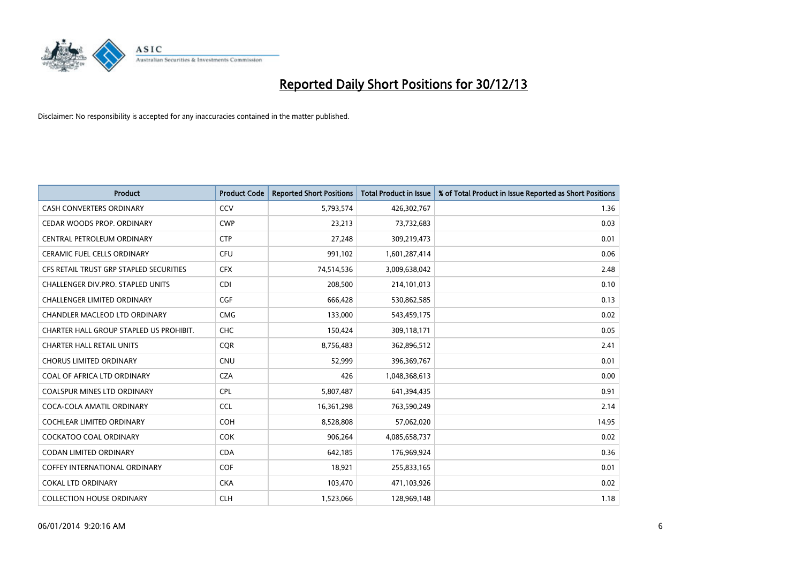

| <b>Product</b>                          | <b>Product Code</b> | <b>Reported Short Positions</b> | <b>Total Product in Issue</b> | % of Total Product in Issue Reported as Short Positions |
|-----------------------------------------|---------------------|---------------------------------|-------------------------------|---------------------------------------------------------|
| <b>CASH CONVERTERS ORDINARY</b>         | CCV                 | 5,793,574                       | 426,302,767                   | 1.36                                                    |
| CEDAR WOODS PROP. ORDINARY              | <b>CWP</b>          | 23,213                          | 73,732,683                    | 0.03                                                    |
| <b>CENTRAL PETROLEUM ORDINARY</b>       | <b>CTP</b>          | 27,248                          | 309,219,473                   | 0.01                                                    |
| CERAMIC FUEL CELLS ORDINARY             | <b>CFU</b>          | 991,102                         | 1,601,287,414                 | 0.06                                                    |
| CFS RETAIL TRUST GRP STAPLED SECURITIES | <b>CFX</b>          | 74,514,536                      | 3,009,638,042                 | 2.48                                                    |
| CHALLENGER DIV.PRO. STAPLED UNITS       | <b>CDI</b>          | 208,500                         | 214,101,013                   | 0.10                                                    |
| CHALLENGER LIMITED ORDINARY             | <b>CGF</b>          | 666,428                         | 530,862,585                   | 0.13                                                    |
| CHANDLER MACLEOD LTD ORDINARY           | <b>CMG</b>          | 133,000                         | 543,459,175                   | 0.02                                                    |
| CHARTER HALL GROUP STAPLED US PROHIBIT. | <b>CHC</b>          | 150,424                         | 309,118,171                   | 0.05                                                    |
| <b>CHARTER HALL RETAIL UNITS</b>        | <b>CQR</b>          | 8,756,483                       | 362,896,512                   | 2.41                                                    |
| <b>CHORUS LIMITED ORDINARY</b>          | <b>CNU</b>          | 52,999                          | 396,369,767                   | 0.01                                                    |
| COAL OF AFRICA LTD ORDINARY             | <b>CZA</b>          | 426                             | 1,048,368,613                 | 0.00                                                    |
| <b>COALSPUR MINES LTD ORDINARY</b>      | <b>CPL</b>          | 5,807,487                       | 641,394,435                   | 0.91                                                    |
| COCA-COLA AMATIL ORDINARY               | <b>CCL</b>          | 16,361,298                      | 763,590,249                   | 2.14                                                    |
| COCHLEAR LIMITED ORDINARY               | <b>COH</b>          | 8,528,808                       | 57,062,020                    | 14.95                                                   |
| COCKATOO COAL ORDINARY                  | <b>COK</b>          | 906,264                         | 4,085,658,737                 | 0.02                                                    |
| CODAN LIMITED ORDINARY                  | <b>CDA</b>          | 642,185                         | 176,969,924                   | 0.36                                                    |
| <b>COFFEY INTERNATIONAL ORDINARY</b>    | <b>COF</b>          | 18,921                          | 255,833,165                   | 0.01                                                    |
| <b>COKAL LTD ORDINARY</b>               | <b>CKA</b>          | 103,470                         | 471,103,926                   | 0.02                                                    |
| <b>COLLECTION HOUSE ORDINARY</b>        | <b>CLH</b>          | 1,523,066                       | 128,969,148                   | 1.18                                                    |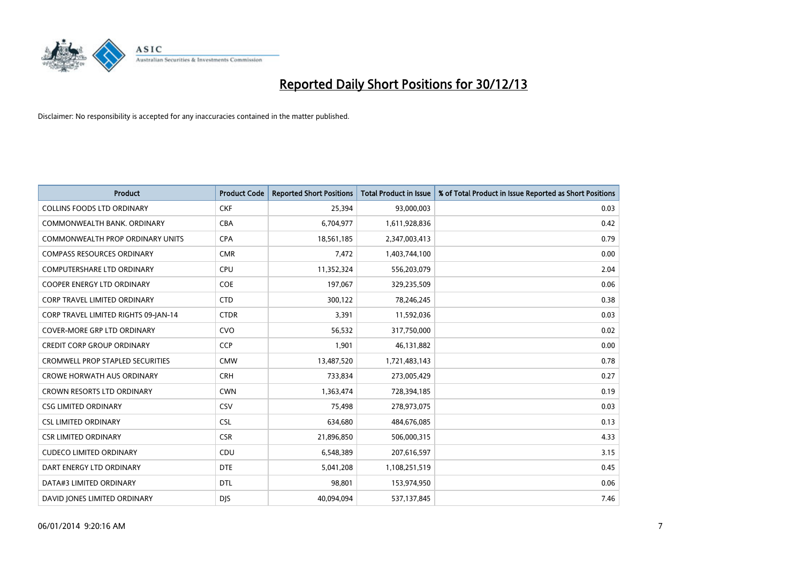

| <b>Product</b>                          | <b>Product Code</b> | <b>Reported Short Positions</b> | <b>Total Product in Issue</b> | % of Total Product in Issue Reported as Short Positions |
|-----------------------------------------|---------------------|---------------------------------|-------------------------------|---------------------------------------------------------|
| <b>COLLINS FOODS LTD ORDINARY</b>       | <b>CKF</b>          | 25,394                          | 93,000,003                    | 0.03                                                    |
| COMMONWEALTH BANK, ORDINARY             | <b>CBA</b>          | 6,704,977                       | 1,611,928,836                 | 0.42                                                    |
| <b>COMMONWEALTH PROP ORDINARY UNITS</b> | <b>CPA</b>          | 18,561,185                      | 2,347,003,413                 | 0.79                                                    |
| <b>COMPASS RESOURCES ORDINARY</b>       | <b>CMR</b>          | 7,472                           | 1,403,744,100                 | 0.00                                                    |
| <b>COMPUTERSHARE LTD ORDINARY</b>       | <b>CPU</b>          | 11,352,324                      | 556,203,079                   | 2.04                                                    |
| <b>COOPER ENERGY LTD ORDINARY</b>       | <b>COE</b>          | 197,067                         | 329,235,509                   | 0.06                                                    |
| <b>CORP TRAVEL LIMITED ORDINARY</b>     | <b>CTD</b>          | 300,122                         | 78,246,245                    | 0.38                                                    |
| CORP TRAVEL LIMITED RIGHTS 09-JAN-14    | <b>CTDR</b>         | 3,391                           | 11,592,036                    | 0.03                                                    |
| <b>COVER-MORE GRP LTD ORDINARY</b>      | <b>CVO</b>          | 56,532                          | 317,750,000                   | 0.02                                                    |
| <b>CREDIT CORP GROUP ORDINARY</b>       | <b>CCP</b>          | 1,901                           | 46,131,882                    | 0.00                                                    |
| <b>CROMWELL PROP STAPLED SECURITIES</b> | <b>CMW</b>          | 13,487,520                      | 1,721,483,143                 | 0.78                                                    |
| <b>CROWE HORWATH AUS ORDINARY</b>       | <b>CRH</b>          | 733,834                         | 273,005,429                   | 0.27                                                    |
| CROWN RESORTS LTD ORDINARY              | <b>CWN</b>          | 1,363,474                       | 728,394,185                   | 0.19                                                    |
| <b>CSG LIMITED ORDINARY</b>             | <b>CSV</b>          | 75,498                          | 278,973,075                   | 0.03                                                    |
| <b>CSL LIMITED ORDINARY</b>             | <b>CSL</b>          | 634,680                         | 484,676,085                   | 0.13                                                    |
| <b>CSR LIMITED ORDINARY</b>             | <b>CSR</b>          | 21,896,850                      | 506,000,315                   | 4.33                                                    |
| <b>CUDECO LIMITED ORDINARY</b>          | CDU                 | 6,548,389                       | 207,616,597                   | 3.15                                                    |
| DART ENERGY LTD ORDINARY                | <b>DTE</b>          | 5,041,208                       | 1,108,251,519                 | 0.45                                                    |
| DATA#3 LIMITED ORDINARY                 | <b>DTL</b>          | 98,801                          | 153,974,950                   | 0.06                                                    |
| DAVID JONES LIMITED ORDINARY            | <b>DJS</b>          | 40,094,094                      | 537,137,845                   | 7.46                                                    |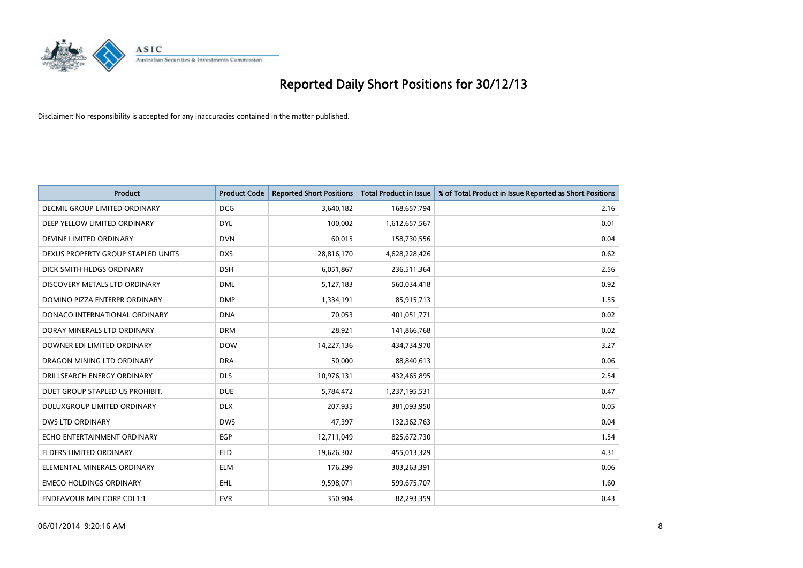

| <b>Product</b>                     | <b>Product Code</b> | <b>Reported Short Positions</b> | <b>Total Product in Issue</b> | % of Total Product in Issue Reported as Short Positions |
|------------------------------------|---------------------|---------------------------------|-------------------------------|---------------------------------------------------------|
| DECMIL GROUP LIMITED ORDINARY      | <b>DCG</b>          | 3,640,182                       | 168,657,794                   | 2.16                                                    |
| DEEP YELLOW LIMITED ORDINARY       | <b>DYL</b>          | 100,002                         | 1,612,657,567                 | 0.01                                                    |
| DEVINE LIMITED ORDINARY            | <b>DVN</b>          | 60,015                          | 158,730,556                   | 0.04                                                    |
| DEXUS PROPERTY GROUP STAPLED UNITS | <b>DXS</b>          | 28,816,170                      | 4,628,228,426                 | 0.62                                                    |
| DICK SMITH HLDGS ORDINARY          | <b>DSH</b>          | 6,051,867                       | 236,511,364                   | 2.56                                                    |
| DISCOVERY METALS LTD ORDINARY      | <b>DML</b>          | 5,127,183                       | 560,034,418                   | 0.92                                                    |
| DOMINO PIZZA ENTERPR ORDINARY      | <b>DMP</b>          | 1,334,191                       | 85,915,713                    | 1.55                                                    |
| DONACO INTERNATIONAL ORDINARY      | <b>DNA</b>          | 70,053                          | 401,051,771                   | 0.02                                                    |
| DORAY MINERALS LTD ORDINARY        | <b>DRM</b>          | 28,921                          | 141,866,768                   | 0.02                                                    |
| DOWNER EDI LIMITED ORDINARY        | <b>DOW</b>          | 14,227,136                      | 434,734,970                   | 3.27                                                    |
| DRAGON MINING LTD ORDINARY         | <b>DRA</b>          | 50,000                          | 88,840,613                    | 0.06                                                    |
| DRILLSEARCH ENERGY ORDINARY        | <b>DLS</b>          | 10,976,131                      | 432,465,895                   | 2.54                                                    |
| DUET GROUP STAPLED US PROHIBIT.    | <b>DUE</b>          | 5,784,472                       | 1,237,195,531                 | 0.47                                                    |
| DULUXGROUP LIMITED ORDINARY        | <b>DLX</b>          | 207,935                         | 381,093,950                   | 0.05                                                    |
| <b>DWS LTD ORDINARY</b>            | <b>DWS</b>          | 47,397                          | 132,362,763                   | 0.04                                                    |
| ECHO ENTERTAINMENT ORDINARY        | <b>EGP</b>          | 12,711,049                      | 825,672,730                   | 1.54                                                    |
| ELDERS LIMITED ORDINARY            | <b>ELD</b>          | 19,626,302                      | 455,013,329                   | 4.31                                                    |
| ELEMENTAL MINERALS ORDINARY        | <b>ELM</b>          | 176,299                         | 303,263,391                   | 0.06                                                    |
| <b>EMECO HOLDINGS ORDINARY</b>     | <b>EHL</b>          | 9,598,071                       | 599,675,707                   | 1.60                                                    |
| <b>ENDEAVOUR MIN CORP CDI 1:1</b>  | <b>EVR</b>          | 350,904                         | 82,293,359                    | 0.43                                                    |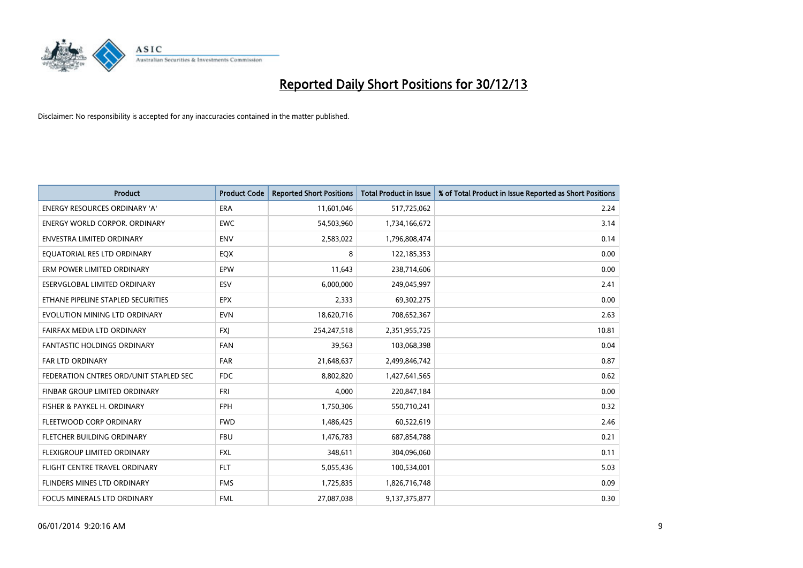

| <b>Product</b>                         | <b>Product Code</b> | <b>Reported Short Positions</b> | <b>Total Product in Issue</b> | % of Total Product in Issue Reported as Short Positions |
|----------------------------------------|---------------------|---------------------------------|-------------------------------|---------------------------------------------------------|
| <b>ENERGY RESOURCES ORDINARY 'A'</b>   | <b>ERA</b>          | 11,601,046                      | 517,725,062                   | 2.24                                                    |
| <b>ENERGY WORLD CORPOR, ORDINARY</b>   | <b>EWC</b>          | 54,503,960                      | 1,734,166,672                 | 3.14                                                    |
| ENVESTRA LIMITED ORDINARY              | <b>ENV</b>          | 2,583,022                       | 1,796,808,474                 | 0.14                                                    |
| EQUATORIAL RES LTD ORDINARY            | <b>EQX</b>          | 8                               | 122,185,353                   | 0.00                                                    |
| ERM POWER LIMITED ORDINARY             | <b>EPW</b>          | 11,643                          | 238,714,606                   | 0.00                                                    |
| ESERVGLOBAL LIMITED ORDINARY           | ESV                 | 6,000,000                       | 249,045,997                   | 2.41                                                    |
| ETHANE PIPELINE STAPLED SECURITIES     | <b>EPX</b>          | 2,333                           | 69,302,275                    | 0.00                                                    |
| EVOLUTION MINING LTD ORDINARY          | <b>EVN</b>          | 18,620,716                      | 708,652,367                   | 2.63                                                    |
| FAIRFAX MEDIA LTD ORDINARY             | <b>FXI</b>          | 254,247,518                     | 2,351,955,725                 | 10.81                                                   |
| FANTASTIC HOLDINGS ORDINARY            | <b>FAN</b>          | 39,563                          | 103,068,398                   | 0.04                                                    |
| FAR LTD ORDINARY                       | <b>FAR</b>          | 21,648,637                      | 2,499,846,742                 | 0.87                                                    |
| FEDERATION CNTRES ORD/UNIT STAPLED SEC | <b>FDC</b>          | 8,802,820                       | 1,427,641,565                 | 0.62                                                    |
| FINBAR GROUP LIMITED ORDINARY          | <b>FRI</b>          | 4,000                           | 220,847,184                   | 0.00                                                    |
| FISHER & PAYKEL H. ORDINARY            | <b>FPH</b>          | 1,750,306                       | 550,710,241                   | 0.32                                                    |
| FLEETWOOD CORP ORDINARY                | <b>FWD</b>          | 1,486,425                       | 60,522,619                    | 2.46                                                    |
| FLETCHER BUILDING ORDINARY             | <b>FBU</b>          | 1,476,783                       | 687,854,788                   | 0.21                                                    |
| FLEXIGROUP LIMITED ORDINARY            | <b>FXL</b>          | 348.611                         | 304,096,060                   | 0.11                                                    |
| FLIGHT CENTRE TRAVEL ORDINARY          | <b>FLT</b>          | 5,055,436                       | 100,534,001                   | 5.03                                                    |
| FLINDERS MINES LTD ORDINARY            | <b>FMS</b>          | 1,725,835                       | 1,826,716,748                 | 0.09                                                    |
| FOCUS MINERALS LTD ORDINARY            | <b>FML</b>          | 27,087,038                      | 9,137,375,877                 | 0.30                                                    |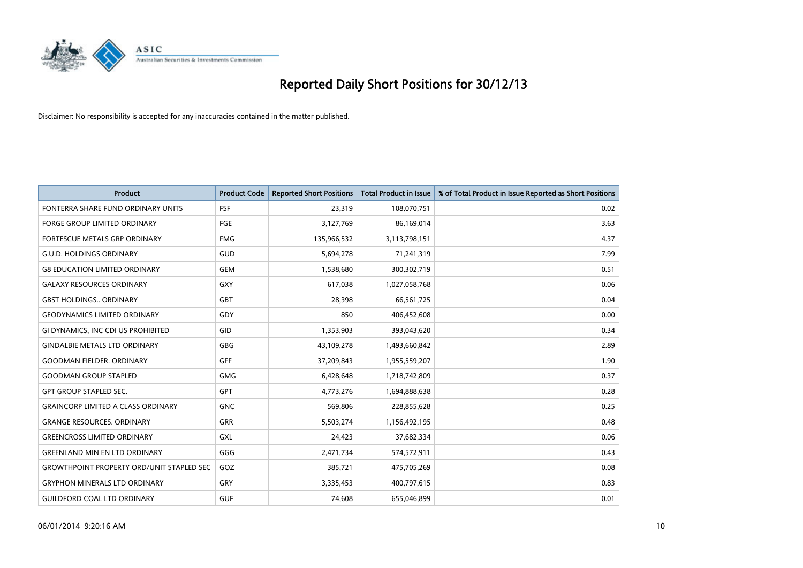

| <b>Product</b>                                   | <b>Product Code</b> | <b>Reported Short Positions</b> | <b>Total Product in Issue</b> | % of Total Product in Issue Reported as Short Positions |
|--------------------------------------------------|---------------------|---------------------------------|-------------------------------|---------------------------------------------------------|
| FONTERRA SHARE FUND ORDINARY UNITS               | <b>FSF</b>          | 23,319                          | 108,070,751                   | 0.02                                                    |
| <b>FORGE GROUP LIMITED ORDINARY</b>              | <b>FGE</b>          | 3,127,769                       | 86,169,014                    | 3.63                                                    |
| FORTESCUE METALS GRP ORDINARY                    | <b>FMG</b>          | 135,966,532                     | 3,113,798,151                 | 4.37                                                    |
| <b>G.U.D. HOLDINGS ORDINARY</b>                  | GUD                 | 5,694,278                       | 71,241,319                    | 7.99                                                    |
| <b>G8 EDUCATION LIMITED ORDINARY</b>             | <b>GEM</b>          | 1,538,680                       | 300,302,719                   | 0.51                                                    |
| <b>GALAXY RESOURCES ORDINARY</b>                 | <b>GXY</b>          | 617,038                         | 1,027,058,768                 | 0.06                                                    |
| <b>GBST HOLDINGS ORDINARY</b>                    | GBT                 | 28,398                          | 66,561,725                    | 0.04                                                    |
| <b>GEODYNAMICS LIMITED ORDINARY</b>              | GDY                 | 850                             | 406,452,608                   | 0.00                                                    |
| GI DYNAMICS, INC CDI US PROHIBITED               | GID                 | 1,353,903                       | 393,043,620                   | 0.34                                                    |
| <b>GINDALBIE METALS LTD ORDINARY</b>             | GBG                 | 43,109,278                      | 1,493,660,842                 | 2.89                                                    |
| <b>GOODMAN FIELDER, ORDINARY</b>                 | <b>GFF</b>          | 37,209,843                      | 1,955,559,207                 | 1.90                                                    |
| <b>GOODMAN GROUP STAPLED</b>                     | GMG                 | 6,428,648                       | 1,718,742,809                 | 0.37                                                    |
| <b>GPT GROUP STAPLED SEC.</b>                    | GPT                 | 4,773,276                       | 1,694,888,638                 | 0.28                                                    |
| <b>GRAINCORP LIMITED A CLASS ORDINARY</b>        | <b>GNC</b>          | 569,806                         | 228,855,628                   | 0.25                                                    |
| <b>GRANGE RESOURCES. ORDINARY</b>                | <b>GRR</b>          | 5,503,274                       | 1,156,492,195                 | 0.48                                                    |
| <b>GREENCROSS LIMITED ORDINARY</b>               | GXL                 | 24,423                          | 37,682,334                    | 0.06                                                    |
| <b>GREENLAND MIN EN LTD ORDINARY</b>             | GGG                 | 2,471,734                       | 574,572,911                   | 0.43                                                    |
| <b>GROWTHPOINT PROPERTY ORD/UNIT STAPLED SEC</b> | GOZ                 | 385,721                         | 475,705,269                   | 0.08                                                    |
| <b>GRYPHON MINERALS LTD ORDINARY</b>             | GRY                 | 3,335,453                       | 400,797,615                   | 0.83                                                    |
| GUILDFORD COAL LTD ORDINARY                      | <b>GUF</b>          | 74,608                          | 655,046,899                   | 0.01                                                    |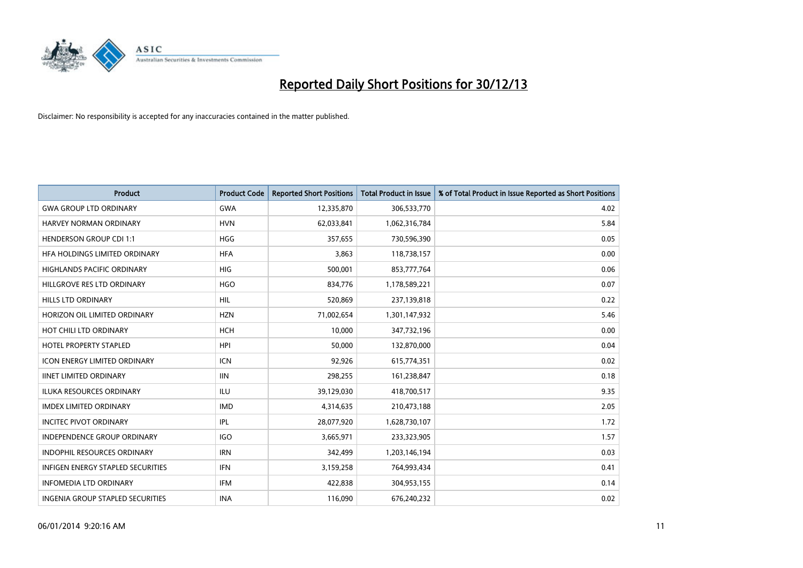

| <b>Product</b>                      | <b>Product Code</b> | <b>Reported Short Positions</b> | Total Product in Issue | % of Total Product in Issue Reported as Short Positions |
|-------------------------------------|---------------------|---------------------------------|------------------------|---------------------------------------------------------|
| <b>GWA GROUP LTD ORDINARY</b>       | <b>GWA</b>          | 12,335,870                      | 306,533,770            | 4.02                                                    |
| HARVEY NORMAN ORDINARY              | <b>HVN</b>          | 62,033,841                      | 1,062,316,784          | 5.84                                                    |
| <b>HENDERSON GROUP CDI 1:1</b>      | <b>HGG</b>          | 357,655                         | 730,596,390            | 0.05                                                    |
| HFA HOLDINGS LIMITED ORDINARY       | <b>HFA</b>          | 3,863                           | 118,738,157            | 0.00                                                    |
| <b>HIGHLANDS PACIFIC ORDINARY</b>   | <b>HIG</b>          | 500,001                         | 853,777,764            | 0.06                                                    |
| HILLGROVE RES LTD ORDINARY          | <b>HGO</b>          | 834,776                         | 1,178,589,221          | 0.07                                                    |
| <b>HILLS LTD ORDINARY</b>           | <b>HIL</b>          | 520,869                         | 237,139,818            | 0.22                                                    |
| HORIZON OIL LIMITED ORDINARY        | <b>HZN</b>          | 71,002,654                      | 1,301,147,932          | 5.46                                                    |
| HOT CHILI LTD ORDINARY              | <b>HCH</b>          | 10.000                          | 347,732,196            | 0.00                                                    |
| <b>HOTEL PROPERTY STAPLED</b>       | <b>HPI</b>          | 50,000                          | 132,870,000            | 0.04                                                    |
| <b>ICON ENERGY LIMITED ORDINARY</b> | <b>ICN</b>          | 92,926                          | 615,774,351            | 0.02                                                    |
| <b>IINET LIMITED ORDINARY</b>       | <b>IIN</b>          | 298,255                         | 161,238,847            | 0.18                                                    |
| ILUKA RESOURCES ORDINARY            | ILU                 | 39,129,030                      | 418,700,517            | 9.35                                                    |
| <b>IMDEX LIMITED ORDINARY</b>       | <b>IMD</b>          | 4,314,635                       | 210,473,188            | 2.05                                                    |
| <b>INCITEC PIVOT ORDINARY</b>       | <b>IPL</b>          | 28,077,920                      | 1,628,730,107          | 1.72                                                    |
| <b>INDEPENDENCE GROUP ORDINARY</b>  | <b>IGO</b>          | 3,665,971                       | 233,323,905            | 1.57                                                    |
| <b>INDOPHIL RESOURCES ORDINARY</b>  | <b>IRN</b>          | 342,499                         | 1,203,146,194          | 0.03                                                    |
| INFIGEN ENERGY STAPLED SECURITIES   | <b>IFN</b>          | 3,159,258                       | 764,993,434            | 0.41                                                    |
| <b>INFOMEDIA LTD ORDINARY</b>       | <b>IFM</b>          | 422,838                         | 304,953,155            | 0.14                                                    |
| INGENIA GROUP STAPLED SECURITIES    | <b>INA</b>          | 116,090                         | 676,240,232            | 0.02                                                    |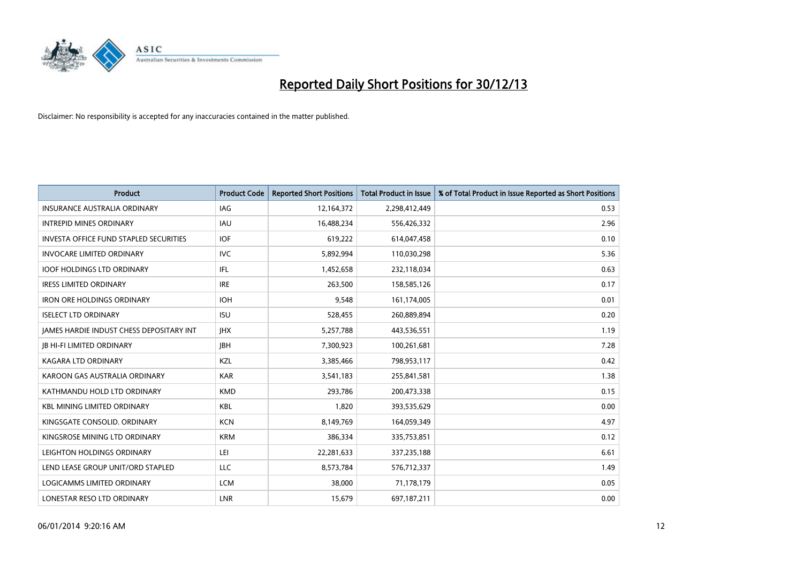

| <b>Product</b>                                  | <b>Product Code</b> | <b>Reported Short Positions</b> | Total Product in Issue | % of Total Product in Issue Reported as Short Positions |
|-------------------------------------------------|---------------------|---------------------------------|------------------------|---------------------------------------------------------|
| INSURANCE AUSTRALIA ORDINARY                    | IAG                 | 12,164,372                      | 2,298,412,449          | 0.53                                                    |
| <b>INTREPID MINES ORDINARY</b>                  | <b>IAU</b>          | 16,488,234                      | 556,426,332            | 2.96                                                    |
| <b>INVESTA OFFICE FUND STAPLED SECURITIES</b>   | <b>IOF</b>          | 619,222                         | 614,047,458            | 0.10                                                    |
| <b>INVOCARE LIMITED ORDINARY</b>                | <b>IVC</b>          | 5,892,994                       | 110,030,298            | 5.36                                                    |
| <b>IOOF HOLDINGS LTD ORDINARY</b>               | IFL                 | 1,452,658                       | 232,118,034            | 0.63                                                    |
| <b>IRESS LIMITED ORDINARY</b>                   | <b>IRE</b>          | 263,500                         | 158,585,126            | 0.17                                                    |
| <b>IRON ORE HOLDINGS ORDINARY</b>               | <b>IOH</b>          | 9.548                           | 161,174,005            | 0.01                                                    |
| <b>ISELECT LTD ORDINARY</b>                     | <b>ISU</b>          | 528,455                         | 260,889,894            | 0.20                                                    |
| <b>JAMES HARDIE INDUST CHESS DEPOSITARY INT</b> | <b>IHX</b>          | 5,257,788                       | 443,536,551            | 1.19                                                    |
| <b>JB HI-FI LIMITED ORDINARY</b>                | <b>IBH</b>          | 7,300,923                       | 100,261,681            | 7.28                                                    |
| KAGARA LTD ORDINARY                             | <b>KZL</b>          | 3,385,466                       | 798,953,117            | 0.42                                                    |
| KAROON GAS AUSTRALIA ORDINARY                   | <b>KAR</b>          | 3,541,183                       | 255,841,581            | 1.38                                                    |
| KATHMANDU HOLD LTD ORDINARY                     | <b>KMD</b>          | 293,786                         | 200,473,338            | 0.15                                                    |
| <b>KBL MINING LIMITED ORDINARY</b>              | <b>KBL</b>          | 1,820                           | 393,535,629            | 0.00                                                    |
| KINGSGATE CONSOLID. ORDINARY                    | <b>KCN</b>          | 8,149,769                       | 164,059,349            | 4.97                                                    |
| KINGSROSE MINING LTD ORDINARY                   | <b>KRM</b>          | 386,334                         | 335,753,851            | 0.12                                                    |
| LEIGHTON HOLDINGS ORDINARY                      | LEI                 | 22,281,633                      | 337,235,188            | 6.61                                                    |
| LEND LEASE GROUP UNIT/ORD STAPLED               | <b>LLC</b>          | 8,573,784                       | 576,712,337            | 1.49                                                    |
| LOGICAMMS LIMITED ORDINARY                      | <b>LCM</b>          | 38,000                          | 71,178,179             | 0.05                                                    |
| LONESTAR RESO LTD ORDINARY                      | LNR                 | 15,679                          | 697,187,211            | 0.00                                                    |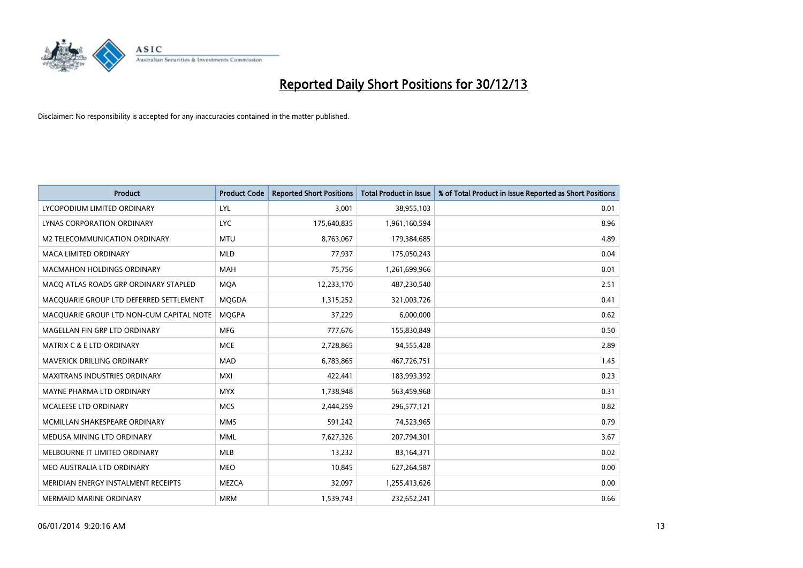

| <b>Product</b>                           | <b>Product Code</b> | <b>Reported Short Positions</b> | Total Product in Issue | % of Total Product in Issue Reported as Short Positions |
|------------------------------------------|---------------------|---------------------------------|------------------------|---------------------------------------------------------|
| LYCOPODIUM LIMITED ORDINARY              | <b>LYL</b>          | 3,001                           | 38,955,103             | 0.01                                                    |
| LYNAS CORPORATION ORDINARY               | <b>LYC</b>          | 175,640,835                     | 1,961,160,594          | 8.96                                                    |
| M2 TELECOMMUNICATION ORDINARY            | <b>MTU</b>          | 8,763,067                       | 179,384,685            | 4.89                                                    |
| <b>MACA LIMITED ORDINARY</b>             | <b>MLD</b>          | 77,937                          | 175,050,243            | 0.04                                                    |
| <b>MACMAHON HOLDINGS ORDINARY</b>        | <b>MAH</b>          | 75,756                          | 1,261,699,966          | 0.01                                                    |
| MACO ATLAS ROADS GRP ORDINARY STAPLED    | <b>MOA</b>          | 12,233,170                      | 487,230,540            | 2.51                                                    |
| MACQUARIE GROUP LTD DEFERRED SETTLEMENT  | <b>MQGDA</b>        | 1,315,252                       | 321,003,726            | 0.41                                                    |
| MACQUARIE GROUP LTD NON-CUM CAPITAL NOTE | <b>MQGPA</b>        | 37,229                          | 6,000,000              | 0.62                                                    |
| MAGELLAN FIN GRP LTD ORDINARY            | <b>MFG</b>          | 777,676                         | 155,830,849            | 0.50                                                    |
| <b>MATRIX C &amp; E LTD ORDINARY</b>     | <b>MCE</b>          | 2,728,865                       | 94,555,428             | 2.89                                                    |
| <b>MAVERICK DRILLING ORDINARY</b>        | <b>MAD</b>          | 6,783,865                       | 467,726,751            | 1.45                                                    |
| <b>MAXITRANS INDUSTRIES ORDINARY</b>     | <b>MXI</b>          | 422,441                         | 183,993,392            | 0.23                                                    |
| MAYNE PHARMA LTD ORDINARY                | <b>MYX</b>          | 1,738,948                       | 563,459,968            | 0.31                                                    |
| <b>MCALEESE LTD ORDINARY</b>             | <b>MCS</b>          | 2,444,259                       | 296,577,121            | 0.82                                                    |
| MCMILLAN SHAKESPEARE ORDINARY            | <b>MMS</b>          | 591,242                         | 74,523,965             | 0.79                                                    |
| MEDUSA MINING LTD ORDINARY               | <b>MML</b>          | 7,627,326                       | 207,794,301            | 3.67                                                    |
| MELBOURNE IT LIMITED ORDINARY            | <b>MLB</b>          | 13,232                          | 83,164,371             | 0.02                                                    |
| MEO AUSTRALIA LTD ORDINARY               | <b>MEO</b>          | 10.845                          | 627,264,587            | 0.00                                                    |
| MERIDIAN ENERGY INSTALMENT RECEIPTS      | <b>MEZCA</b>        | 32,097                          | 1,255,413,626          | 0.00                                                    |
| MERMAID MARINE ORDINARY                  | <b>MRM</b>          | 1,539,743                       | 232,652,241            | 0.66                                                    |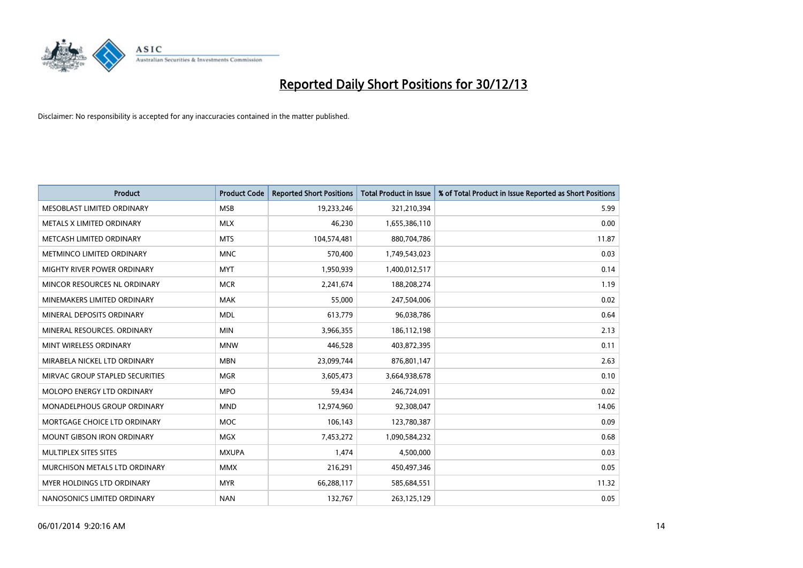

| <b>Product</b>                    | <b>Product Code</b> | <b>Reported Short Positions</b> | <b>Total Product in Issue</b> | % of Total Product in Issue Reported as Short Positions |
|-----------------------------------|---------------------|---------------------------------|-------------------------------|---------------------------------------------------------|
| MESOBLAST LIMITED ORDINARY        | <b>MSB</b>          | 19,233,246                      | 321,210,394                   | 5.99                                                    |
| METALS X LIMITED ORDINARY         | <b>MLX</b>          | 46,230                          | 1,655,386,110                 | 0.00                                                    |
| METCASH LIMITED ORDINARY          | <b>MTS</b>          | 104,574,481                     | 880,704,786                   | 11.87                                                   |
| METMINCO LIMITED ORDINARY         | <b>MNC</b>          | 570,400                         | 1,749,543,023                 | 0.03                                                    |
| MIGHTY RIVER POWER ORDINARY       | <b>MYT</b>          | 1,950,939                       | 1,400,012,517                 | 0.14                                                    |
| MINCOR RESOURCES NL ORDINARY      | <b>MCR</b>          | 2,241,674                       | 188,208,274                   | 1.19                                                    |
| MINEMAKERS LIMITED ORDINARY       | <b>MAK</b>          | 55,000                          | 247,504,006                   | 0.02                                                    |
| MINERAL DEPOSITS ORDINARY         | <b>MDL</b>          | 613,779                         | 96,038,786                    | 0.64                                                    |
| MINERAL RESOURCES, ORDINARY       | <b>MIN</b>          | 3,966,355                       | 186,112,198                   | 2.13                                                    |
| MINT WIRELESS ORDINARY            | <b>MNW</b>          | 446,528                         | 403,872,395                   | 0.11                                                    |
| MIRABELA NICKEL LTD ORDINARY      | <b>MBN</b>          | 23,099,744                      | 876,801,147                   | 2.63                                                    |
| MIRVAC GROUP STAPLED SECURITIES   | <b>MGR</b>          | 3,605,473                       | 3,664,938,678                 | 0.10                                                    |
| MOLOPO ENERGY LTD ORDINARY        | <b>MPO</b>          | 59,434                          | 246,724,091                   | 0.02                                                    |
| MONADELPHOUS GROUP ORDINARY       | <b>MND</b>          | 12,974,960                      | 92,308,047                    | 14.06                                                   |
| MORTGAGE CHOICE LTD ORDINARY      | <b>MOC</b>          | 106,143                         | 123,780,387                   | 0.09                                                    |
| <b>MOUNT GIBSON IRON ORDINARY</b> | MGX                 | 7,453,272                       | 1,090,584,232                 | 0.68                                                    |
| MULTIPLEX SITES SITES             | <b>MXUPA</b>        | 1,474                           | 4,500,000                     | 0.03                                                    |
| MURCHISON METALS LTD ORDINARY     | <b>MMX</b>          | 216,291                         | 450,497,346                   | 0.05                                                    |
| MYER HOLDINGS LTD ORDINARY        | <b>MYR</b>          | 66,288,117                      | 585,684,551                   | 11.32                                                   |
| NANOSONICS LIMITED ORDINARY       | <b>NAN</b>          | 132,767                         | 263,125,129                   | 0.05                                                    |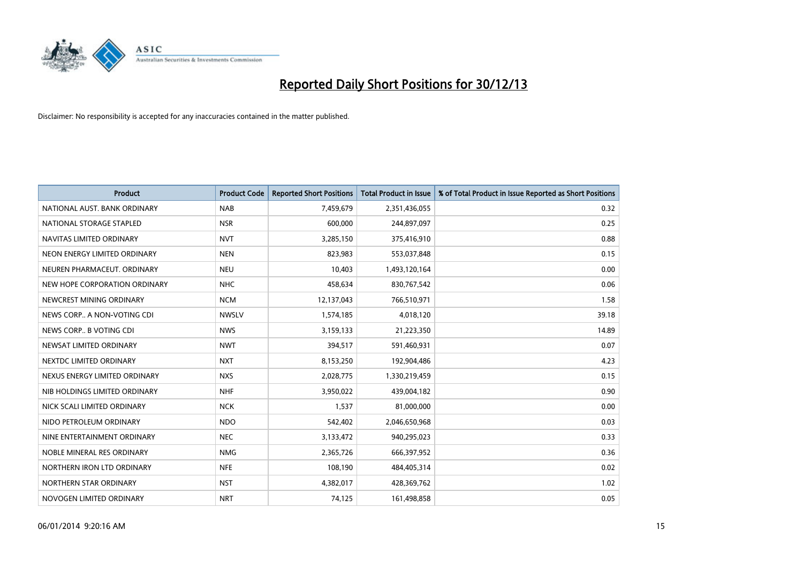

| <b>Product</b>                | <b>Product Code</b> | <b>Reported Short Positions</b> | Total Product in Issue | % of Total Product in Issue Reported as Short Positions |
|-------------------------------|---------------------|---------------------------------|------------------------|---------------------------------------------------------|
| NATIONAL AUST. BANK ORDINARY  | <b>NAB</b>          | 7,459,679                       | 2,351,436,055          | 0.32                                                    |
| NATIONAL STORAGE STAPLED      | <b>NSR</b>          | 600,000                         | 244,897,097            | 0.25                                                    |
| NAVITAS LIMITED ORDINARY      | <b>NVT</b>          | 3,285,150                       | 375,416,910            | 0.88                                                    |
| NEON ENERGY LIMITED ORDINARY  | <b>NEN</b>          | 823,983                         | 553,037,848            | 0.15                                                    |
| NEUREN PHARMACEUT, ORDINARY   | <b>NEU</b>          | 10,403                          | 1,493,120,164          | 0.00                                                    |
| NEW HOPE CORPORATION ORDINARY | <b>NHC</b>          | 458,634                         | 830,767,542            | 0.06                                                    |
| NEWCREST MINING ORDINARY      | <b>NCM</b>          | 12,137,043                      | 766,510,971            | 1.58                                                    |
| NEWS CORP A NON-VOTING CDI    | <b>NWSLV</b>        | 1,574,185                       | 4,018,120              | 39.18                                                   |
| NEWS CORP B VOTING CDI        | <b>NWS</b>          | 3,159,133                       | 21,223,350             | 14.89                                                   |
| NEWSAT LIMITED ORDINARY       | <b>NWT</b>          | 394,517                         | 591,460,931            | 0.07                                                    |
| NEXTDC LIMITED ORDINARY       | <b>NXT</b>          | 8,153,250                       | 192,904,486            | 4.23                                                    |
| NEXUS ENERGY LIMITED ORDINARY | <b>NXS</b>          | 2,028,775                       | 1,330,219,459          | 0.15                                                    |
| NIB HOLDINGS LIMITED ORDINARY | <b>NHF</b>          | 3,950,022                       | 439,004,182            | 0.90                                                    |
| NICK SCALI LIMITED ORDINARY   | <b>NCK</b>          | 1,537                           | 81,000,000             | 0.00                                                    |
| NIDO PETROLEUM ORDINARY       | <b>NDO</b>          | 542,402                         | 2,046,650,968          | 0.03                                                    |
| NINE ENTERTAINMENT ORDINARY   | <b>NEC</b>          | 3,133,472                       | 940,295,023            | 0.33                                                    |
| NOBLE MINERAL RES ORDINARY    | <b>NMG</b>          | 2,365,726                       | 666,397,952            | 0.36                                                    |
| NORTHERN IRON LTD ORDINARY    | <b>NFE</b>          | 108,190                         | 484,405,314            | 0.02                                                    |
| NORTHERN STAR ORDINARY        | <b>NST</b>          | 4,382,017                       | 428,369,762            | 1.02                                                    |
| NOVOGEN LIMITED ORDINARY      | <b>NRT</b>          | 74,125                          | 161,498,858            | 0.05                                                    |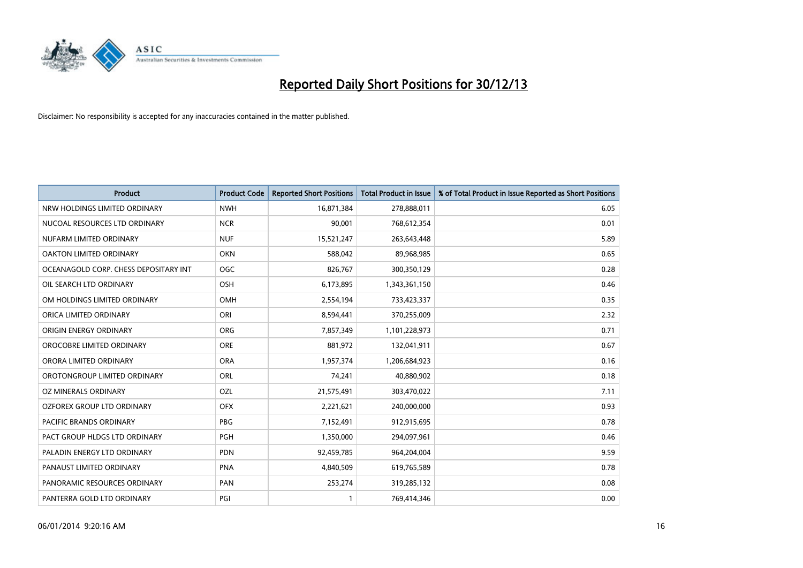

| <b>Product</b>                        | <b>Product Code</b> | <b>Reported Short Positions</b> | <b>Total Product in Issue</b> | % of Total Product in Issue Reported as Short Positions |
|---------------------------------------|---------------------|---------------------------------|-------------------------------|---------------------------------------------------------|
| NRW HOLDINGS LIMITED ORDINARY         | <b>NWH</b>          | 16,871,384                      | 278,888,011                   | 6.05                                                    |
| NUCOAL RESOURCES LTD ORDINARY         | <b>NCR</b>          | 90,001                          | 768,612,354                   | 0.01                                                    |
| NUFARM LIMITED ORDINARY               | <b>NUF</b>          | 15,521,247                      | 263,643,448                   | 5.89                                                    |
| OAKTON LIMITED ORDINARY               | <b>OKN</b>          | 588,042                         | 89,968,985                    | 0.65                                                    |
| OCEANAGOLD CORP. CHESS DEPOSITARY INT | <b>OGC</b>          | 826,767                         | 300,350,129                   | 0.28                                                    |
| OIL SEARCH LTD ORDINARY               | OSH                 | 6,173,895                       | 1,343,361,150                 | 0.46                                                    |
| OM HOLDINGS LIMITED ORDINARY          | <b>OMH</b>          | 2,554,194                       | 733,423,337                   | 0.35                                                    |
| ORICA LIMITED ORDINARY                | <b>ORI</b>          | 8,594,441                       | 370,255,009                   | 2.32                                                    |
| ORIGIN ENERGY ORDINARY                | <b>ORG</b>          | 7,857,349                       | 1,101,228,973                 | 0.71                                                    |
| OROCOBRE LIMITED ORDINARY             | ORE                 | 881,972                         | 132,041,911                   | 0.67                                                    |
| ORORA LIMITED ORDINARY                | <b>ORA</b>          | 1,957,374                       | 1,206,684,923                 | 0.16                                                    |
| OROTONGROUP LIMITED ORDINARY          | <b>ORL</b>          | 74,241                          | 40,880,902                    | 0.18                                                    |
| OZ MINERALS ORDINARY                  | OZL                 | 21,575,491                      | 303,470,022                   | 7.11                                                    |
| OZFOREX GROUP LTD ORDINARY            | <b>OFX</b>          | 2,221,621                       | 240,000,000                   | 0.93                                                    |
| PACIFIC BRANDS ORDINARY               | <b>PBG</b>          | 7,152,491                       | 912,915,695                   | 0.78                                                    |
| PACT GROUP HLDGS LTD ORDINARY         | <b>PGH</b>          | 1,350,000                       | 294,097,961                   | 0.46                                                    |
| PALADIN ENERGY LTD ORDINARY           | <b>PDN</b>          | 92,459,785                      | 964,204,004                   | 9.59                                                    |
| PANAUST LIMITED ORDINARY              | <b>PNA</b>          | 4,840,509                       | 619,765,589                   | 0.78                                                    |
| PANORAMIC RESOURCES ORDINARY          | PAN                 | 253,274                         | 319,285,132                   | 0.08                                                    |
| PANTERRA GOLD LTD ORDINARY            | PGI                 |                                 | 769,414,346                   | 0.00                                                    |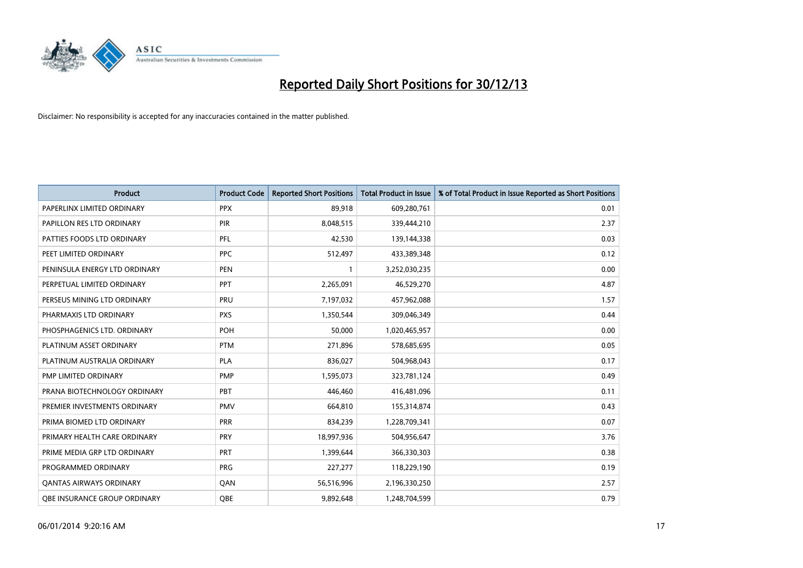

| <b>Product</b>                   | <b>Product Code</b> | <b>Reported Short Positions</b> | <b>Total Product in Issue</b> | % of Total Product in Issue Reported as Short Positions |
|----------------------------------|---------------------|---------------------------------|-------------------------------|---------------------------------------------------------|
| PAPERLINX LIMITED ORDINARY       | <b>PPX</b>          | 89,918                          | 609,280,761                   | 0.01                                                    |
| <b>PAPILLON RES LTD ORDINARY</b> | <b>PIR</b>          | 8,048,515                       | 339,444,210                   | 2.37                                                    |
| PATTIES FOODS LTD ORDINARY       | PFL                 | 42,530                          | 139,144,338                   | 0.03                                                    |
| PEET LIMITED ORDINARY            | <b>PPC</b>          | 512,497                         | 433,389,348                   | 0.12                                                    |
| PENINSULA ENERGY LTD ORDINARY    | <b>PEN</b>          | $\mathbf{1}$                    | 3,252,030,235                 | 0.00                                                    |
| PERPETUAL LIMITED ORDINARY       | PPT                 | 2,265,091                       | 46,529,270                    | 4.87                                                    |
| PERSEUS MINING LTD ORDINARY      | <b>PRU</b>          | 7,197,032                       | 457,962,088                   | 1.57                                                    |
| PHARMAXIS LTD ORDINARY           | <b>PXS</b>          | 1,350,544                       | 309,046,349                   | 0.44                                                    |
| PHOSPHAGENICS LTD. ORDINARY      | <b>POH</b>          | 50,000                          | 1,020,465,957                 | 0.00                                                    |
| PLATINUM ASSET ORDINARY          | <b>PTM</b>          | 271,896                         | 578,685,695                   | 0.05                                                    |
| PLATINUM AUSTRALIA ORDINARY      | PLA                 | 836,027                         | 504,968,043                   | 0.17                                                    |
| PMP LIMITED ORDINARY             | <b>PMP</b>          | 1,595,073                       | 323,781,124                   | 0.49                                                    |
| PRANA BIOTECHNOLOGY ORDINARY     | PBT                 | 446,460                         | 416,481,096                   | 0.11                                                    |
| PREMIER INVESTMENTS ORDINARY     | <b>PMV</b>          | 664,810                         | 155,314,874                   | 0.43                                                    |
| PRIMA BIOMED LTD ORDINARY        | <b>PRR</b>          | 834,239                         | 1,228,709,341                 | 0.07                                                    |
| PRIMARY HEALTH CARE ORDINARY     | <b>PRY</b>          | 18,997,936                      | 504,956,647                   | 3.76                                                    |
| PRIME MEDIA GRP LTD ORDINARY     | <b>PRT</b>          | 1,399,644                       | 366,330,303                   | 0.38                                                    |
| PROGRAMMED ORDINARY              | <b>PRG</b>          | 227,277                         | 118,229,190                   | 0.19                                                    |
| <b>QANTAS AIRWAYS ORDINARY</b>   | QAN                 | 56,516,996                      | 2,196,330,250                 | 2.57                                                    |
| OBE INSURANCE GROUP ORDINARY     | OBE                 | 9,892,648                       | 1,248,704,599                 | 0.79                                                    |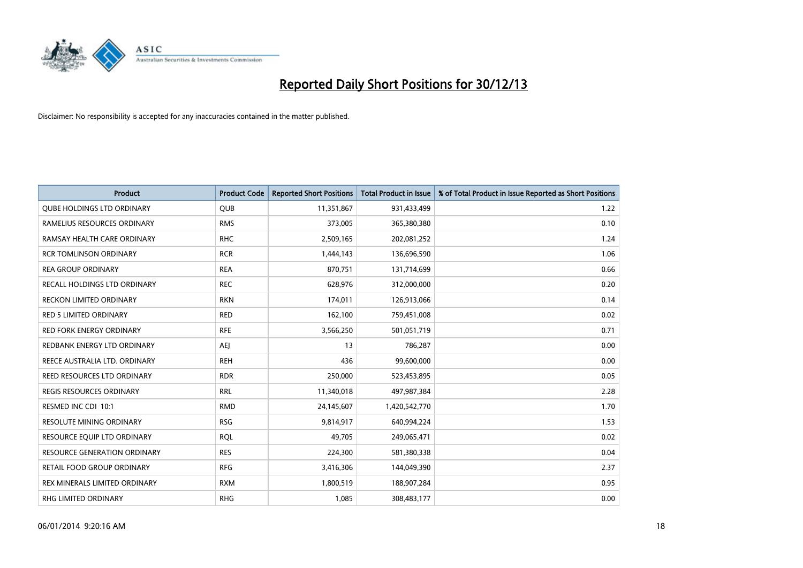

| <b>Product</b>                    | <b>Product Code</b> | <b>Reported Short Positions</b> | Total Product in Issue | % of Total Product in Issue Reported as Short Positions |
|-----------------------------------|---------------------|---------------------------------|------------------------|---------------------------------------------------------|
| <b>QUBE HOLDINGS LTD ORDINARY</b> | <b>QUB</b>          | 11,351,867                      | 931,433,499            | 1.22                                                    |
| RAMELIUS RESOURCES ORDINARY       | <b>RMS</b>          | 373,005                         | 365,380,380            | 0.10                                                    |
| RAMSAY HEALTH CARE ORDINARY       | <b>RHC</b>          | 2,509,165                       | 202,081,252            | 1.24                                                    |
| <b>RCR TOMLINSON ORDINARY</b>     | <b>RCR</b>          | 1,444,143                       | 136,696,590            | 1.06                                                    |
| <b>REA GROUP ORDINARY</b>         | <b>REA</b>          | 870,751                         | 131,714,699            | 0.66                                                    |
| RECALL HOLDINGS LTD ORDINARY      | <b>REC</b>          | 628,976                         | 312,000,000            | 0.20                                                    |
| RECKON LIMITED ORDINARY           | <b>RKN</b>          | 174,011                         | 126,913,066            | 0.14                                                    |
| RED 5 LIMITED ORDINARY            | <b>RED</b>          | 162,100                         | 759,451,008            | 0.02                                                    |
| <b>RED FORK ENERGY ORDINARY</b>   | <b>RFE</b>          | 3,566,250                       | 501,051,719            | 0.71                                                    |
| REDBANK ENERGY LTD ORDINARY       | <b>AEI</b>          | 13                              | 786,287                | 0.00                                                    |
| REECE AUSTRALIA LTD. ORDINARY     | <b>REH</b>          | 436                             | 99,600,000             | 0.00                                                    |
| REED RESOURCES LTD ORDINARY       | <b>RDR</b>          | 250,000                         | 523,453,895            | 0.05                                                    |
| REGIS RESOURCES ORDINARY          | <b>RRL</b>          | 11,340,018                      | 497,987,384            | 2.28                                                    |
| RESMED INC CDI 10:1               | <b>RMD</b>          | 24,145,607                      | 1,420,542,770          | 1.70                                                    |
| RESOLUTE MINING ORDINARY          | <b>RSG</b>          | 9,814,917                       | 640,994,224            | 1.53                                                    |
| RESOURCE EQUIP LTD ORDINARY       | <b>RQL</b>          | 49,705                          | 249,065,471            | 0.02                                                    |
| RESOURCE GENERATION ORDINARY      | <b>RES</b>          | 224,300                         | 581,380,338            | 0.04                                                    |
| <b>RETAIL FOOD GROUP ORDINARY</b> | <b>RFG</b>          | 3,416,306                       | 144,049,390            | 2.37                                                    |
| REX MINERALS LIMITED ORDINARY     | <b>RXM</b>          | 1,800,519                       | 188,907,284            | 0.95                                                    |
| <b>RHG LIMITED ORDINARY</b>       | <b>RHG</b>          | 1,085                           | 308,483,177            | 0.00                                                    |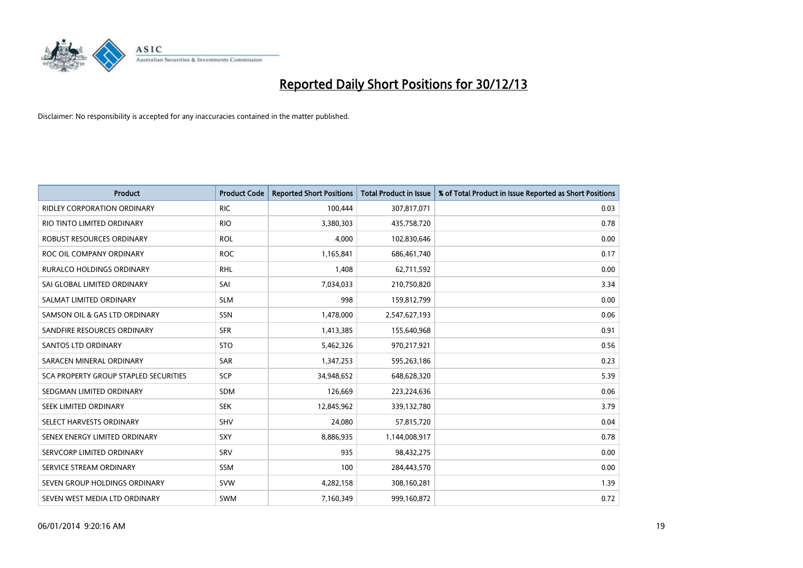

| <b>Product</b>                        | <b>Product Code</b> | <b>Reported Short Positions</b> | <b>Total Product in Issue</b> | % of Total Product in Issue Reported as Short Positions |
|---------------------------------------|---------------------|---------------------------------|-------------------------------|---------------------------------------------------------|
| <b>RIDLEY CORPORATION ORDINARY</b>    | <b>RIC</b>          | 100,444                         | 307,817,071                   | 0.03                                                    |
| RIO TINTO LIMITED ORDINARY            | <b>RIO</b>          | 3,380,303                       | 435,758,720                   | 0.78                                                    |
| <b>ROBUST RESOURCES ORDINARY</b>      | <b>ROL</b>          | 4,000                           | 102,830,646                   | 0.00                                                    |
| ROC OIL COMPANY ORDINARY              | <b>ROC</b>          | 1,165,841                       | 686,461,740                   | 0.17                                                    |
| <b>RURALCO HOLDINGS ORDINARY</b>      | <b>RHL</b>          | 1,408                           | 62,711,592                    | 0.00                                                    |
| SAI GLOBAL LIMITED ORDINARY           | SAI                 | 7,034,033                       | 210,750,820                   | 3.34                                                    |
| SALMAT LIMITED ORDINARY               | <b>SLM</b>          | 998                             | 159,812,799                   | 0.00                                                    |
| SAMSON OIL & GAS LTD ORDINARY         | <b>SSN</b>          | 1,478,000                       | 2,547,627,193                 | 0.06                                                    |
| SANDFIRE RESOURCES ORDINARY           | <b>SFR</b>          | 1,413,385                       | 155,640,968                   | 0.91                                                    |
| SANTOS LTD ORDINARY                   | <b>STO</b>          | 5,462,326                       | 970,217,921                   | 0.56                                                    |
| SARACEN MINERAL ORDINARY              | SAR                 | 1,347,253                       | 595,263,186                   | 0.23                                                    |
| SCA PROPERTY GROUP STAPLED SECURITIES | <b>SCP</b>          | 34,948,652                      | 648,628,320                   | 5.39                                                    |
| SEDGMAN LIMITED ORDINARY              | <b>SDM</b>          | 126,669                         | 223,224,636                   | 0.06                                                    |
| SEEK LIMITED ORDINARY                 | <b>SEK</b>          | 12,845,962                      | 339,132,780                   | 3.79                                                    |
| SELECT HARVESTS ORDINARY              | <b>SHV</b>          | 24,080                          | 57,815,720                    | 0.04                                                    |
| SENEX ENERGY LIMITED ORDINARY         | SXY                 | 8,886,935                       | 1,144,008,917                 | 0.78                                                    |
| SERVCORP LIMITED ORDINARY             | SRV                 | 935                             | 98,432,275                    | 0.00                                                    |
| SERVICE STREAM ORDINARY               | <b>SSM</b>          | 100                             | 284,443,570                   | 0.00                                                    |
| SEVEN GROUP HOLDINGS ORDINARY         | <b>SVW</b>          | 4,282,158                       | 308,160,281                   | 1.39                                                    |
| SEVEN WEST MEDIA LTD ORDINARY         | <b>SWM</b>          | 7,160,349                       | 999,160,872                   | 0.72                                                    |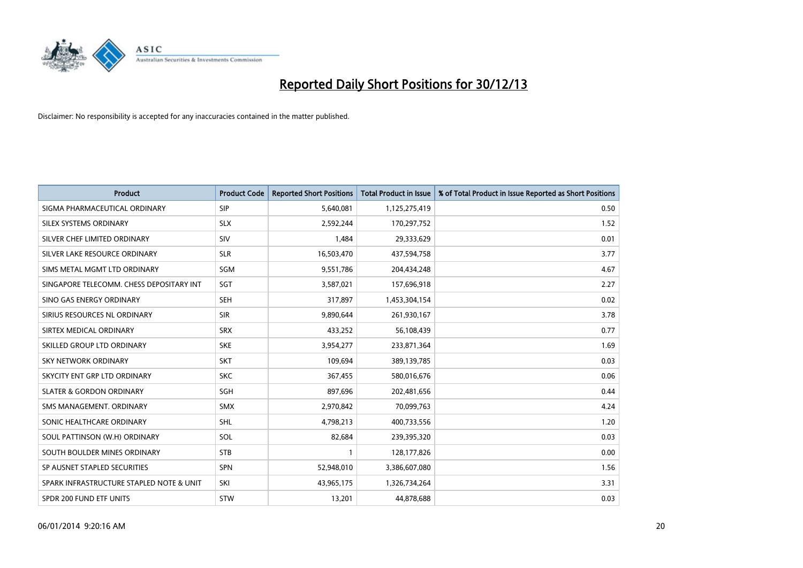

| Product                                  | <b>Product Code</b> | <b>Reported Short Positions</b> | <b>Total Product in Issue</b> | % of Total Product in Issue Reported as Short Positions |
|------------------------------------------|---------------------|---------------------------------|-------------------------------|---------------------------------------------------------|
| SIGMA PHARMACEUTICAL ORDINARY            | <b>SIP</b>          | 5,640,081                       | 1,125,275,419                 | 0.50                                                    |
| SILEX SYSTEMS ORDINARY                   | <b>SLX</b>          | 2,592,244                       | 170,297,752                   | 1.52                                                    |
| SILVER CHEF LIMITED ORDINARY             | SIV                 | 1,484                           | 29,333,629                    | 0.01                                                    |
| SILVER LAKE RESOURCE ORDINARY            | <b>SLR</b>          | 16,503,470                      | 437,594,758                   | 3.77                                                    |
| SIMS METAL MGMT LTD ORDINARY             | SGM                 | 9,551,786                       | 204,434,248                   | 4.67                                                    |
| SINGAPORE TELECOMM. CHESS DEPOSITARY INT | SGT                 | 3,587,021                       | 157,696,918                   | 2.27                                                    |
| SINO GAS ENERGY ORDINARY                 | <b>SEH</b>          | 317,897                         | 1,453,304,154                 | 0.02                                                    |
| SIRIUS RESOURCES NL ORDINARY             | <b>SIR</b>          | 9,890,644                       | 261,930,167                   | 3.78                                                    |
| SIRTEX MEDICAL ORDINARY                  | <b>SRX</b>          | 433,252                         | 56,108,439                    | 0.77                                                    |
| SKILLED GROUP LTD ORDINARY               | <b>SKE</b>          | 3,954,277                       | 233,871,364                   | 1.69                                                    |
| SKY NETWORK ORDINARY                     | <b>SKT</b>          | 109,694                         | 389,139,785                   | 0.03                                                    |
| SKYCITY ENT GRP LTD ORDINARY             | <b>SKC</b>          | 367,455                         | 580,016,676                   | 0.06                                                    |
| <b>SLATER &amp; GORDON ORDINARY</b>      | <b>SGH</b>          | 897,696                         | 202,481,656                   | 0.44                                                    |
| SMS MANAGEMENT, ORDINARY                 | <b>SMX</b>          | 2,970,842                       | 70,099,763                    | 4.24                                                    |
| SONIC HEALTHCARE ORDINARY                | <b>SHL</b>          | 4,798,213                       | 400,733,556                   | 1.20                                                    |
| SOUL PATTINSON (W.H) ORDINARY            | SOL                 | 82,684                          | 239,395,320                   | 0.03                                                    |
| SOUTH BOULDER MINES ORDINARY             | <b>STB</b>          | $\mathbf{1}$                    | 128,177,826                   | 0.00                                                    |
| SP AUSNET STAPLED SECURITIES             | <b>SPN</b>          | 52,948,010                      | 3,386,607,080                 | 1.56                                                    |
| SPARK INFRASTRUCTURE STAPLED NOTE & UNIT | SKI                 | 43,965,175                      | 1,326,734,264                 | 3.31                                                    |
| SPDR 200 FUND ETF UNITS                  | <b>STW</b>          | 13,201                          | 44,878,688                    | 0.03                                                    |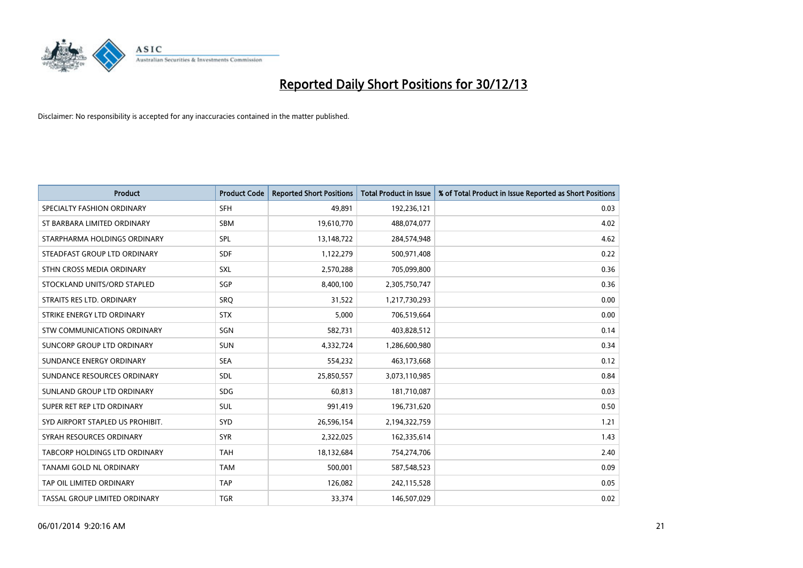

| Product                          | <b>Product Code</b> | <b>Reported Short Positions</b> | <b>Total Product in Issue</b> | % of Total Product in Issue Reported as Short Positions |
|----------------------------------|---------------------|---------------------------------|-------------------------------|---------------------------------------------------------|
| SPECIALTY FASHION ORDINARY       | <b>SFH</b>          | 49,891                          | 192,236,121                   | 0.03                                                    |
| ST BARBARA LIMITED ORDINARY      | <b>SBM</b>          | 19,610,770                      | 488,074,077                   | 4.02                                                    |
| STARPHARMA HOLDINGS ORDINARY     | SPL                 | 13,148,722                      | 284,574,948                   | 4.62                                                    |
| STEADFAST GROUP LTD ORDINARY     | <b>SDF</b>          | 1,122,279                       | 500,971,408                   | 0.22                                                    |
| STHN CROSS MEDIA ORDINARY        | <b>SXL</b>          | 2,570,288                       | 705,099,800                   | 0.36                                                    |
| STOCKLAND UNITS/ORD STAPLED      | <b>SGP</b>          | 8,400,100                       | 2,305,750,747                 | 0.36                                                    |
| STRAITS RES LTD. ORDINARY        | SRO                 | 31,522                          | 1,217,730,293                 | 0.00                                                    |
| STRIKE ENERGY LTD ORDINARY       | <b>STX</b>          | 5,000                           | 706,519,664                   | 0.00                                                    |
| STW COMMUNICATIONS ORDINARY      | SGN                 | 582,731                         | 403,828,512                   | 0.14                                                    |
| SUNCORP GROUP LTD ORDINARY       | <b>SUN</b>          | 4,332,724                       | 1,286,600,980                 | 0.34                                                    |
| SUNDANCE ENERGY ORDINARY         | <b>SEA</b>          | 554,232                         | 463,173,668                   | 0.12                                                    |
| SUNDANCE RESOURCES ORDINARY      | <b>SDL</b>          | 25,850,557                      | 3,073,110,985                 | 0.84                                                    |
| SUNLAND GROUP LTD ORDINARY       | <b>SDG</b>          | 60,813                          | 181,710,087                   | 0.03                                                    |
| SUPER RET REP LTD ORDINARY       | SUL                 | 991,419                         | 196,731,620                   | 0.50                                                    |
| SYD AIRPORT STAPLED US PROHIBIT. | <b>SYD</b>          | 26,596,154                      | 2,194,322,759                 | 1.21                                                    |
| SYRAH RESOURCES ORDINARY         | <b>SYR</b>          | 2,322,025                       | 162,335,614                   | 1.43                                                    |
| TABCORP HOLDINGS LTD ORDINARY    | <b>TAH</b>          | 18,132,684                      | 754,274,706                   | 2.40                                                    |
| TANAMI GOLD NL ORDINARY          | <b>TAM</b>          | 500,001                         | 587, 548, 523                 | 0.09                                                    |
| TAP OIL LIMITED ORDINARY         | <b>TAP</b>          | 126,082                         | 242,115,528                   | 0.05                                                    |
| TASSAL GROUP LIMITED ORDINARY    | <b>TGR</b>          | 33,374                          | 146,507,029                   | 0.02                                                    |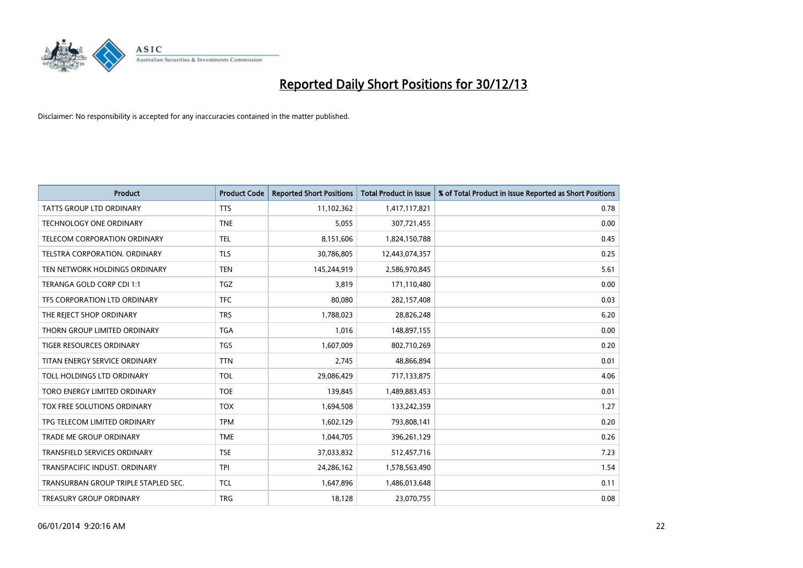

| <b>Product</b>                       | <b>Product Code</b> | <b>Reported Short Positions</b> | Total Product in Issue | % of Total Product in Issue Reported as Short Positions |
|--------------------------------------|---------------------|---------------------------------|------------------------|---------------------------------------------------------|
| <b>TATTS GROUP LTD ORDINARY</b>      | <b>TTS</b>          | 11,102,362                      | 1,417,117,821          | 0.78                                                    |
| <b>TECHNOLOGY ONE ORDINARY</b>       | <b>TNE</b>          | 5,055                           | 307,721,455            | 0.00                                                    |
| TELECOM CORPORATION ORDINARY         | <b>TEL</b>          | 8,151,606                       | 1,824,150,788          | 0.45                                                    |
| TELSTRA CORPORATION, ORDINARY        | <b>TLS</b>          | 30,786,805                      | 12,443,074,357         | 0.25                                                    |
| TEN NETWORK HOLDINGS ORDINARY        | <b>TEN</b>          | 145,244,919                     | 2,586,970,845          | 5.61                                                    |
| TERANGA GOLD CORP CDI 1:1            | <b>TGZ</b>          | 3,819                           | 171,110,480            | 0.00                                                    |
| TFS CORPORATION LTD ORDINARY         | <b>TFC</b>          | 80,080                          | 282,157,408            | 0.03                                                    |
| THE REJECT SHOP ORDINARY             | <b>TRS</b>          | 1,788,023                       | 28,826,248             | 6.20                                                    |
| THORN GROUP LIMITED ORDINARY         | <b>TGA</b>          | 1,016                           | 148,897,155            | 0.00                                                    |
| <b>TIGER RESOURCES ORDINARY</b>      | <b>TGS</b>          | 1,607,009                       | 802,710,269            | 0.20                                                    |
| TITAN ENERGY SERVICE ORDINARY        | <b>TTN</b>          | 2,745                           | 48,866,894             | 0.01                                                    |
| TOLL HOLDINGS LTD ORDINARY           | <b>TOL</b>          | 29,086,429                      | 717,133,875            | 4.06                                                    |
| TORO ENERGY LIMITED ORDINARY         | <b>TOE</b>          | 139,845                         | 1,489,883,453          | 0.01                                                    |
| TOX FREE SOLUTIONS ORDINARY          | <b>TOX</b>          | 1,694,508                       | 133,242,359            | 1.27                                                    |
| TPG TELECOM LIMITED ORDINARY         | <b>TPM</b>          | 1,602,129                       | 793,808,141            | 0.20                                                    |
| <b>TRADE ME GROUP ORDINARY</b>       | <b>TME</b>          | 1,044,705                       | 396,261,129            | 0.26                                                    |
| TRANSFIELD SERVICES ORDINARY         | <b>TSE</b>          | 37,033,832                      | 512,457,716            | 7.23                                                    |
| TRANSPACIFIC INDUST, ORDINARY        | <b>TPI</b>          | 24,286,162                      | 1,578,563,490          | 1.54                                                    |
| TRANSURBAN GROUP TRIPLE STAPLED SEC. | <b>TCL</b>          | 1,647,896                       | 1,486,013,648          | 0.11                                                    |
| TREASURY GROUP ORDINARY              | <b>TRG</b>          | 18,128                          | 23,070,755             | 0.08                                                    |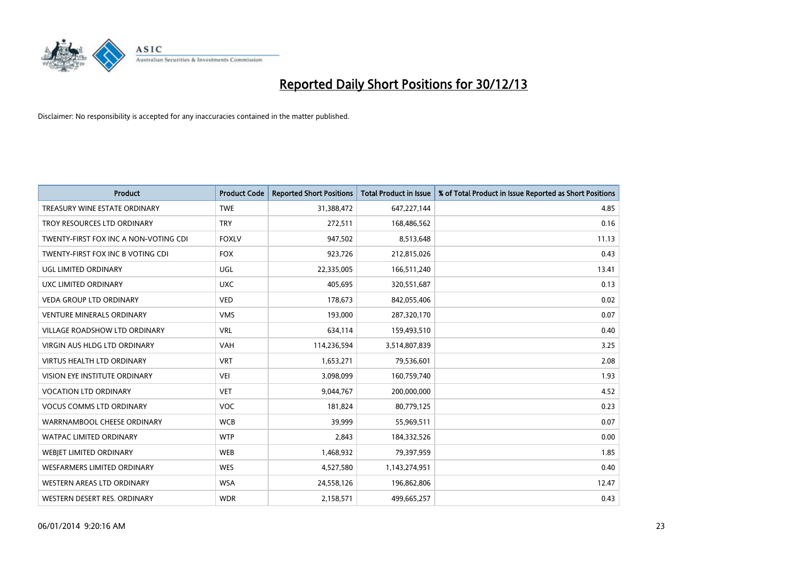

| <b>Product</b>                        | <b>Product Code</b> | <b>Reported Short Positions</b> | Total Product in Issue | % of Total Product in Issue Reported as Short Positions |
|---------------------------------------|---------------------|---------------------------------|------------------------|---------------------------------------------------------|
| TREASURY WINE ESTATE ORDINARY         | <b>TWE</b>          | 31,388,472                      | 647,227,144            | 4.85                                                    |
| TROY RESOURCES LTD ORDINARY           | <b>TRY</b>          | 272,511                         | 168,486,562            | 0.16                                                    |
| TWENTY-FIRST FOX INC A NON-VOTING CDI | <b>FOXLV</b>        | 947,502                         | 8,513,648              | 11.13                                                   |
| TWENTY-FIRST FOX INC B VOTING CDI     | <b>FOX</b>          | 923,726                         | 212,815,026            | 0.43                                                    |
| <b>UGL LIMITED ORDINARY</b>           | UGL                 | 22,335,005                      | 166,511,240            | 13.41                                                   |
| UXC LIMITED ORDINARY                  | <b>UXC</b>          | 405,695                         | 320,551,687            | 0.13                                                    |
| <b>VEDA GROUP LTD ORDINARY</b>        | <b>VED</b>          | 178,673                         | 842,055,406            | 0.02                                                    |
| <b>VENTURE MINERALS ORDINARY</b>      | <b>VMS</b>          | 193,000                         | 287,320,170            | 0.07                                                    |
| VILLAGE ROADSHOW LTD ORDINARY         | <b>VRL</b>          | 634,114                         | 159,493,510            | 0.40                                                    |
| VIRGIN AUS HLDG LTD ORDINARY          | <b>VAH</b>          | 114,236,594                     | 3,514,807,839          | 3.25                                                    |
| <b>VIRTUS HEALTH LTD ORDINARY</b>     | <b>VRT</b>          | 1,653,271                       | 79,536,601             | 2.08                                                    |
| <b>VISION EYE INSTITUTE ORDINARY</b>  | <b>VEI</b>          | 3,098,099                       | 160,759,740            | 1.93                                                    |
| <b>VOCATION LTD ORDINARY</b>          | <b>VET</b>          | 9,044,767                       | 200,000,000            | 4.52                                                    |
| <b>VOCUS COMMS LTD ORDINARY</b>       | <b>VOC</b>          | 181,824                         | 80,779,125             | 0.23                                                    |
| WARRNAMBOOL CHEESE ORDINARY           | <b>WCB</b>          | 39,999                          | 55,969,511             | 0.07                                                    |
| <b>WATPAC LIMITED ORDINARY</b>        | <b>WTP</b>          | 2.843                           | 184,332,526            | 0.00                                                    |
| WEBIET LIMITED ORDINARY               | <b>WEB</b>          | 1,468,932                       | 79,397,959             | 1.85                                                    |
| <b>WESFARMERS LIMITED ORDINARY</b>    | <b>WES</b>          | 4,527,580                       | 1,143,274,951          | 0.40                                                    |
| WESTERN AREAS LTD ORDINARY            | <b>WSA</b>          | 24,558,126                      | 196,862,806            | 12.47                                                   |
| WESTERN DESERT RES. ORDINARY          | <b>WDR</b>          | 2,158,571                       | 499,665,257            | 0.43                                                    |